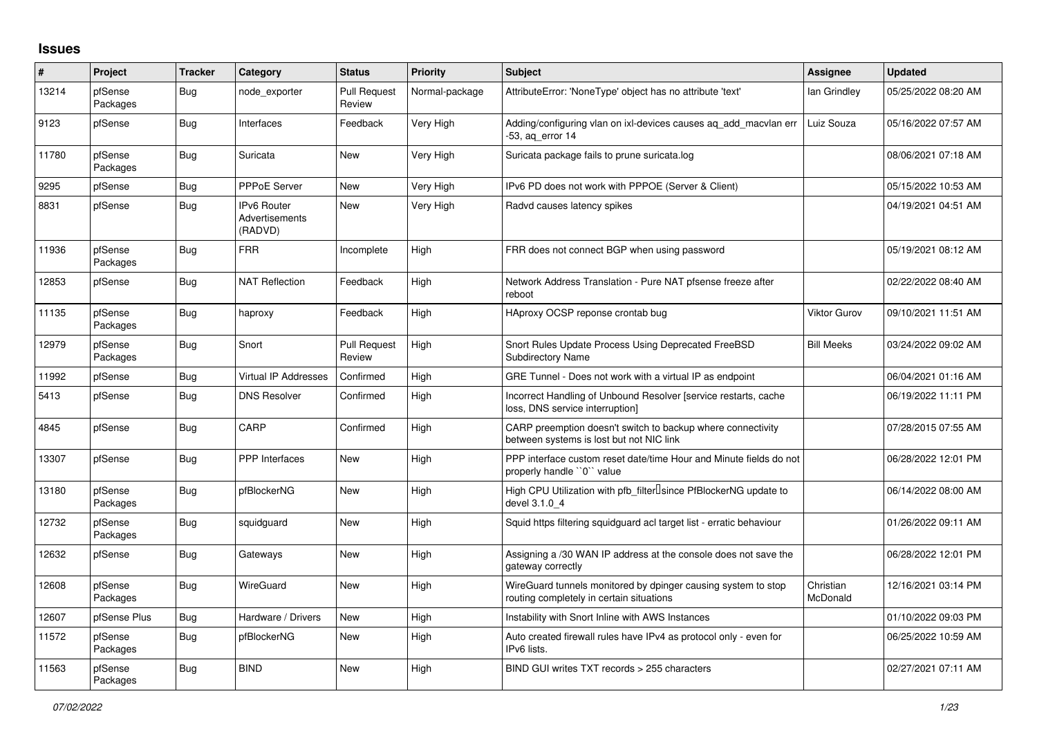## **Issues**

| #     | Project             | <b>Tracker</b> | Category                                        | <b>Status</b>                 | <b>Priority</b> | <b>Subject</b>                                                                                            | <b>Assignee</b>       | <b>Updated</b>      |
|-------|---------------------|----------------|-------------------------------------------------|-------------------------------|-----------------|-----------------------------------------------------------------------------------------------------------|-----------------------|---------------------|
| 13214 | pfSense<br>Packages | <b>Bug</b>     | node_exporter                                   | <b>Pull Request</b><br>Review | Normal-package  | AttributeError: 'NoneType' object has no attribute 'text'                                                 | lan Grindley          | 05/25/2022 08:20 AM |
| 9123  | pfSense             | <b>Bug</b>     | Interfaces                                      | Feedback                      | Very High       | Adding/configuring vlan on ixl-devices causes aq_add_macvlan err<br>-53, aq_error 14                      | Luiz Souza            | 05/16/2022 07:57 AM |
| 11780 | pfSense<br>Packages | Bug            | Suricata                                        | New                           | Very High       | Suricata package fails to prune suricata.log                                                              |                       | 08/06/2021 07:18 AM |
| 9295  | pfSense             | <b>Bug</b>     | <b>PPPoE Server</b>                             | <b>New</b>                    | Very High       | IPv6 PD does not work with PPPOE (Server & Client)                                                        |                       | 05/15/2022 10:53 AM |
| 8831  | pfSense             | <b>Bug</b>     | <b>IPv6 Router</b><br>Advertisements<br>(RADVD) | <b>New</b>                    | Very High       | Radvd causes latency spikes                                                                               |                       | 04/19/2021 04:51 AM |
| 11936 | pfSense<br>Packages | Bug            | <b>FRR</b>                                      | Incomplete                    | High            | FRR does not connect BGP when using password                                                              |                       | 05/19/2021 08:12 AM |
| 12853 | pfSense             | Bug            | <b>NAT Reflection</b>                           | Feedback                      | High            | Network Address Translation - Pure NAT pfsense freeze after<br>reboot                                     |                       | 02/22/2022 08:40 AM |
| 11135 | pfSense<br>Packages | <b>Bug</b>     | haproxy                                         | Feedback                      | High            | HAproxy OCSP reponse crontab bug                                                                          | Viktor Gurov          | 09/10/2021 11:51 AM |
| 12979 | pfSense<br>Packages | Bug            | Snort                                           | <b>Pull Request</b><br>Review | High            | Snort Rules Update Process Using Deprecated FreeBSD<br><b>Subdirectory Name</b>                           | <b>Bill Meeks</b>     | 03/24/2022 09:02 AM |
| 11992 | pfSense             | <b>Bug</b>     | Virtual IP Addresses                            | Confirmed                     | High            | GRE Tunnel - Does not work with a virtual IP as endpoint                                                  |                       | 06/04/2021 01:16 AM |
| 5413  | pfSense             | <b>Bug</b>     | <b>DNS Resolver</b>                             | Confirmed                     | High            | Incorrect Handling of Unbound Resolver [service restarts, cache<br>loss, DNS service interruption]        |                       | 06/19/2022 11:11 PM |
| 4845  | pfSense             | <b>Bug</b>     | CARP                                            | Confirmed                     | High            | CARP preemption doesn't switch to backup where connectivity<br>between systems is lost but not NIC link   |                       | 07/28/2015 07:55 AM |
| 13307 | pfSense             | <b>Bug</b>     | <b>PPP</b> Interfaces                           | New                           | High            | PPP interface custom reset date/time Hour and Minute fields do not<br>properly handle "0" value           |                       | 06/28/2022 12:01 PM |
| 13180 | pfSense<br>Packages | <b>Bug</b>     | pfBlockerNG                                     | New                           | High            | High CPU Utilization with pfb_filter <sup>[]</sup> since PfBlockerNG update to<br>devel 3.1.0 4           |                       | 06/14/2022 08:00 AM |
| 12732 | pfSense<br>Packages | <b>Bug</b>     | squidguard                                      | <b>New</b>                    | High            | Squid https filtering squidguard acl target list - erratic behaviour                                      |                       | 01/26/2022 09:11 AM |
| 12632 | pfSense             | Bug            | Gateways                                        | <b>New</b>                    | High            | Assigning a /30 WAN IP address at the console does not save the<br>gateway correctly                      |                       | 06/28/2022 12:01 PM |
| 12608 | pfSense<br>Packages | Bug            | WireGuard                                       | <b>New</b>                    | High            | WireGuard tunnels monitored by dpinger causing system to stop<br>routing completely in certain situations | Christian<br>McDonald | 12/16/2021 03:14 PM |
| 12607 | pfSense Plus        | <b>Bug</b>     | Hardware / Drivers                              | New                           | High            | Instability with Snort Inline with AWS Instances                                                          |                       | 01/10/2022 09:03 PM |
| 11572 | pfSense<br>Packages | Bug            | pfBlockerNG                                     | <b>New</b>                    | High            | Auto created firewall rules have IPv4 as protocol only - even for<br>IPv6 lists.                          |                       | 06/25/2022 10:59 AM |
| 11563 | pfSense<br>Packages | <b>Bug</b>     | <b>BIND</b>                                     | <b>New</b>                    | High            | BIND GUI writes TXT records > 255 characters                                                              |                       | 02/27/2021 07:11 AM |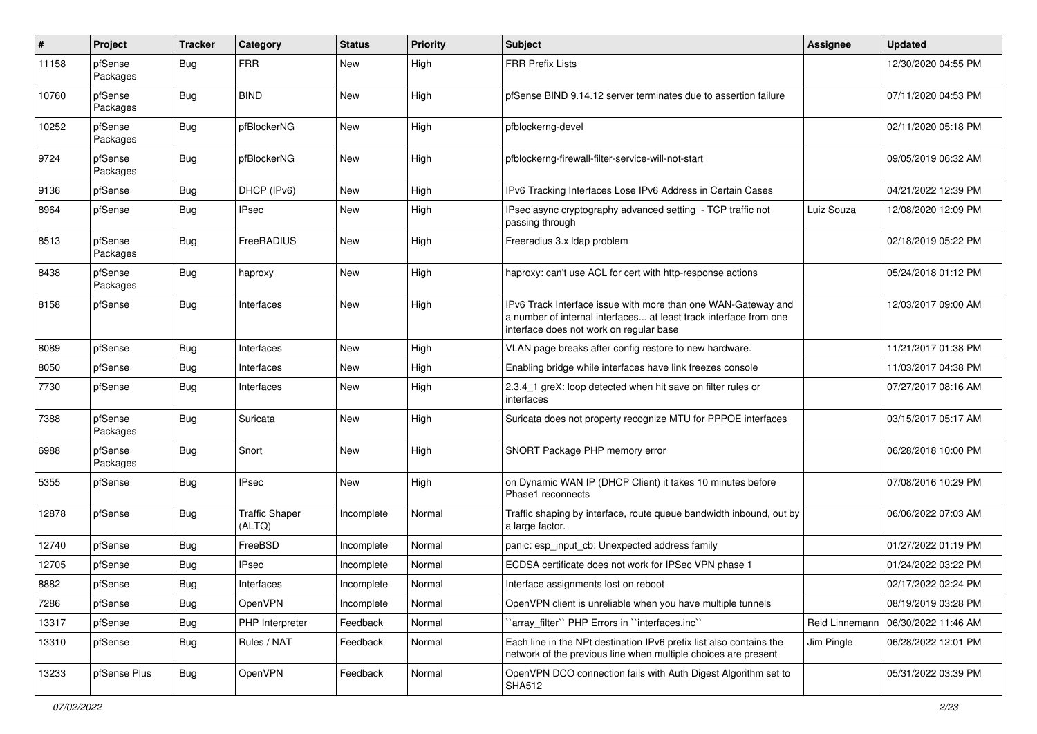| $\pmb{\#}$ | Project             | <b>Tracker</b> | Category                        | <b>Status</b> | <b>Priority</b> | Subject                                                                                                                                                                       | Assignee       | <b>Updated</b>      |
|------------|---------------------|----------------|---------------------------------|---------------|-----------------|-------------------------------------------------------------------------------------------------------------------------------------------------------------------------------|----------------|---------------------|
| 11158      | pfSense<br>Packages | Bug            | <b>FRR</b>                      | New           | High            | <b>FRR Prefix Lists</b>                                                                                                                                                       |                | 12/30/2020 04:55 PM |
| 10760      | pfSense<br>Packages | <b>Bug</b>     | <b>BIND</b>                     | New           | High            | pfSense BIND 9.14.12 server terminates due to assertion failure                                                                                                               |                | 07/11/2020 04:53 PM |
| 10252      | pfSense<br>Packages | <b>Bug</b>     | pfBlockerNG                     | New           | High            | pfblockerng-devel                                                                                                                                                             |                | 02/11/2020 05:18 PM |
| 9724       | pfSense<br>Packages | Bug            | pfBlockerNG                     | New           | High            | pfblockerng-firewall-filter-service-will-not-start                                                                                                                            |                | 09/05/2019 06:32 AM |
| 9136       | pfSense             | Bug            | DHCP (IPv6)                     | New           | High            | IPv6 Tracking Interfaces Lose IPv6 Address in Certain Cases                                                                                                                   |                | 04/21/2022 12:39 PM |
| 8964       | pfSense             | Bug            | <b>IPsec</b>                    | New           | High            | IPsec async cryptography advanced setting - TCP traffic not<br>passing through                                                                                                | Luiz Souza     | 12/08/2020 12:09 PM |
| 8513       | pfSense<br>Packages | Bug            | FreeRADIUS                      | New           | High            | Freeradius 3.x Idap problem                                                                                                                                                   |                | 02/18/2019 05:22 PM |
| 8438       | pfSense<br>Packages | <b>Bug</b>     | haproxy                         | New           | High            | haproxy: can't use ACL for cert with http-response actions                                                                                                                    |                | 05/24/2018 01:12 PM |
| 8158       | pfSense             | <b>Bug</b>     | Interfaces                      | New           | High            | IPv6 Track Interface issue with more than one WAN-Gateway and<br>a number of internal interfaces at least track interface from one<br>interface does not work on regular base |                | 12/03/2017 09:00 AM |
| 8089       | pfSense             | Bug            | Interfaces                      | New           | High            | VLAN page breaks after config restore to new hardware.                                                                                                                        |                | 11/21/2017 01:38 PM |
| 8050       | pfSense             | Bug            | Interfaces                      | New           | High            | Enabling bridge while interfaces have link freezes console                                                                                                                    |                | 11/03/2017 04:38 PM |
| 7730       | pfSense             | Bug            | Interfaces                      | New           | High            | 2.3.4_1 greX: loop detected when hit save on filter rules or<br>interfaces                                                                                                    |                | 07/27/2017 08:16 AM |
| 7388       | pfSense<br>Packages | Bug            | Suricata                        | New           | High            | Suricata does not property recognize MTU for PPPOE interfaces                                                                                                                 |                | 03/15/2017 05:17 AM |
| 6988       | pfSense<br>Packages | Bug            | Snort                           | New           | High            | SNORT Package PHP memory error                                                                                                                                                |                | 06/28/2018 10:00 PM |
| 5355       | pfSense             | Bug            | <b>IPsec</b>                    | New           | High            | on Dynamic WAN IP (DHCP Client) it takes 10 minutes before<br>Phase1 reconnects                                                                                               |                | 07/08/2016 10:29 PM |
| 12878      | pfSense             | Bug            | <b>Traffic Shaper</b><br>(ALTQ) | Incomplete    | Normal          | Traffic shaping by interface, route queue bandwidth inbound, out by<br>a large factor.                                                                                        |                | 06/06/2022 07:03 AM |
| 12740      | pfSense             | <b>Bug</b>     | FreeBSD                         | Incomplete    | Normal          | panic: esp_input_cb: Unexpected address family                                                                                                                                |                | 01/27/2022 01:19 PM |
| 12705      | pfSense             | <b>Bug</b>     | <b>IPsec</b>                    | Incomplete    | Normal          | ECDSA certificate does not work for IPSec VPN phase 1                                                                                                                         |                | 01/24/2022 03:22 PM |
| 8882       | pfSense             | Bug            | Interfaces                      | Incomplete    | Normal          | Interface assignments lost on reboot                                                                                                                                          |                | 02/17/2022 02:24 PM |
| 7286       | pfSense             | <b>Bug</b>     | OpenVPN                         | Incomplete    | Normal          | OpenVPN client is unreliable when you have multiple tunnels                                                                                                                   |                | 08/19/2019 03:28 PM |
| 13317      | pfSense             | <b>Bug</b>     | PHP Interpreter                 | Feedback      | Normal          | 'array filter'' PHP Errors in "interfaces.inc"                                                                                                                                | Reid Linnemann | 06/30/2022 11:46 AM |
| 13310      | pfSense             | <b>Bug</b>     | Rules / NAT                     | Feedback      | Normal          | Each line in the NPt destination IPv6 prefix list also contains the<br>network of the previous line when multiple choices are present                                         | Jim Pingle     | 06/28/2022 12:01 PM |
| 13233      | pfSense Plus        | <b>Bug</b>     | OpenVPN                         | Feedback      | Normal          | OpenVPN DCO connection fails with Auth Digest Algorithm set to<br><b>SHA512</b>                                                                                               |                | 05/31/2022 03:39 PM |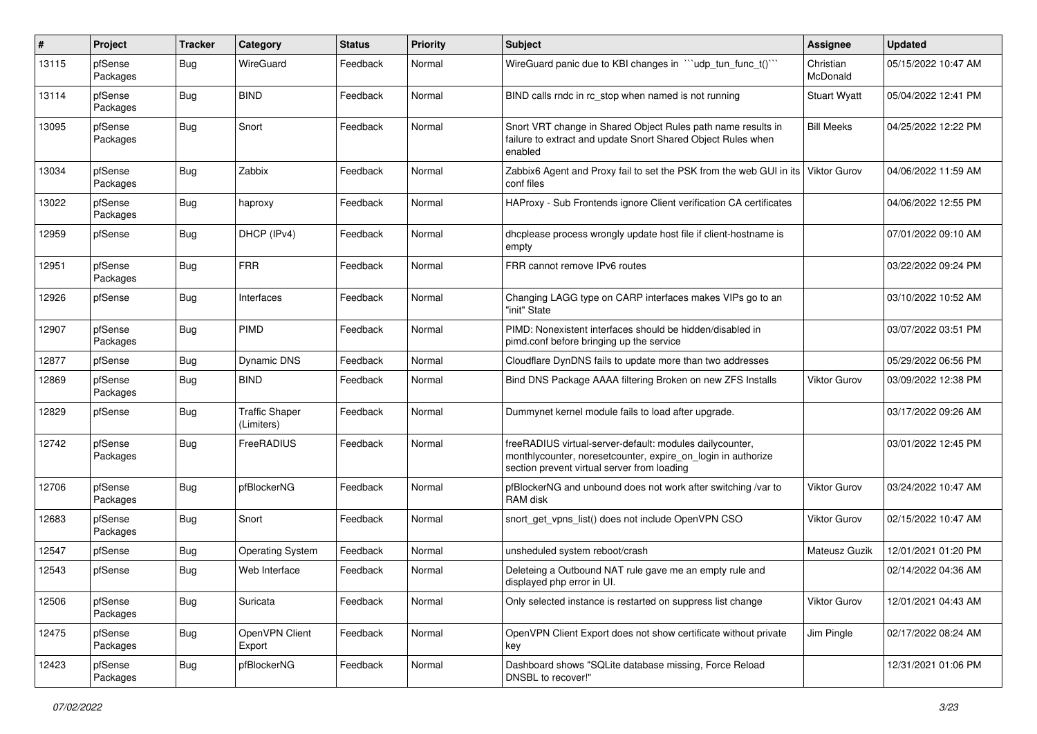| #     | Project             | <b>Tracker</b> | Category                            | <b>Status</b> | <b>Priority</b> | <b>Subject</b>                                                                                                                                                          | <b>Assignee</b>       | <b>Updated</b>      |
|-------|---------------------|----------------|-------------------------------------|---------------|-----------------|-------------------------------------------------------------------------------------------------------------------------------------------------------------------------|-----------------------|---------------------|
| 13115 | pfSense<br>Packages | <b>Bug</b>     | WireGuard                           | Feedback      | Normal          | WireGuard panic due to KBI changes in ""udp_tun_func_t()""                                                                                                              | Christian<br>McDonald | 05/15/2022 10:47 AM |
| 13114 | pfSense<br>Packages | Bug            | <b>BIND</b>                         | Feedback      | Normal          | BIND calls rndc in rc_stop when named is not running                                                                                                                    | <b>Stuart Wyatt</b>   | 05/04/2022 12:41 PM |
| 13095 | pfSense<br>Packages | <b>Bug</b>     | Snort                               | Feedback      | Normal          | Snort VRT change in Shared Object Rules path name results in<br>failure to extract and update Snort Shared Object Rules when<br>enabled                                 | <b>Bill Meeks</b>     | 04/25/2022 12:22 PM |
| 13034 | pfSense<br>Packages | <b>Bug</b>     | Zabbix                              | Feedback      | Normal          | Zabbix6 Agent and Proxy fail to set the PSK from the web GUI in its<br>conf files                                                                                       | <b>Viktor Gurov</b>   | 04/06/2022 11:59 AM |
| 13022 | pfSense<br>Packages | Bug            | haproxy                             | Feedback      | Normal          | HAProxy - Sub Frontends ignore Client verification CA certificates                                                                                                      |                       | 04/06/2022 12:55 PM |
| 12959 | pfSense             | <b>Bug</b>     | DHCP (IPv4)                         | Feedback      | Normal          | dhcplease process wrongly update host file if client-hostname is<br>empty                                                                                               |                       | 07/01/2022 09:10 AM |
| 12951 | pfSense<br>Packages | <b>Bug</b>     | <b>FRR</b>                          | Feedback      | Normal          | FRR cannot remove IPv6 routes                                                                                                                                           |                       | 03/22/2022 09:24 PM |
| 12926 | pfSense             | <b>Bug</b>     | Interfaces                          | Feedback      | Normal          | Changing LAGG type on CARP interfaces makes VIPs go to an<br>"init" State                                                                                               |                       | 03/10/2022 10:52 AM |
| 12907 | pfSense<br>Packages | <b>Bug</b>     | <b>PIMD</b>                         | Feedback      | Normal          | PIMD: Nonexistent interfaces should be hidden/disabled in<br>pimd.conf before bringing up the service                                                                   |                       | 03/07/2022 03:51 PM |
| 12877 | pfSense             | <b>Bug</b>     | Dynamic DNS                         | Feedback      | Normal          | Cloudflare DynDNS fails to update more than two addresses                                                                                                               |                       | 05/29/2022 06:56 PM |
| 12869 | pfSense<br>Packages | Bug            | <b>BIND</b>                         | Feedback      | Normal          | Bind DNS Package AAAA filtering Broken on new ZFS Installs                                                                                                              | <b>Viktor Gurov</b>   | 03/09/2022 12:38 PM |
| 12829 | pfSense             | Bug            | <b>Traffic Shaper</b><br>(Limiters) | Feedback      | Normal          | Dummynet kernel module fails to load after upgrade.                                                                                                                     |                       | 03/17/2022 09:26 AM |
| 12742 | pfSense<br>Packages | <b>Bug</b>     | FreeRADIUS                          | Feedback      | Normal          | freeRADIUS virtual-server-default: modules dailycounter,<br>monthlycounter, noresetcounter, expire_on_login in authorize<br>section prevent virtual server from loading |                       | 03/01/2022 12:45 PM |
| 12706 | pfSense<br>Packages | <b>Bug</b>     | pfBlockerNG                         | Feedback      | Normal          | pfBlockerNG and unbound does not work after switching /var to<br>RAM disk                                                                                               | <b>Viktor Gurov</b>   | 03/24/2022 10:47 AM |
| 12683 | pfSense<br>Packages | <b>Bug</b>     | Snort                               | Feedback      | Normal          | snort_get_vpns_list() does not include OpenVPN CSO                                                                                                                      | <b>Viktor Gurov</b>   | 02/15/2022 10:47 AM |
| 12547 | pfSense             | Bug            | <b>Operating System</b>             | Feedback      | Normal          | unsheduled system reboot/crash                                                                                                                                          | Mateusz Guzik         | 12/01/2021 01:20 PM |
| 12543 | pfSense             | <b>Bug</b>     | Web Interface                       | Feedback      | Normal          | Deleteing a Outbound NAT rule gave me an empty rule and<br>displayed php error in UI.                                                                                   |                       | 02/14/2022 04:36 AM |
| 12506 | pfSense<br>Packages | <b>Bug</b>     | Suricata                            | Feedback      | Normal          | Only selected instance is restarted on suppress list change                                                                                                             | <b>Viktor Gurov</b>   | 12/01/2021 04:43 AM |
| 12475 | pfSense<br>Packages | <b>Bug</b>     | OpenVPN Client<br>Export            | Feedback      | Normal          | OpenVPN Client Export does not show certificate without private<br>key                                                                                                  | Jim Pingle            | 02/17/2022 08:24 AM |
| 12423 | pfSense<br>Packages | <b>Bug</b>     | pfBlockerNG                         | Feedback      | Normal          | Dashboard shows "SQLite database missing, Force Reload<br>DNSBL to recover!"                                                                                            |                       | 12/31/2021 01:06 PM |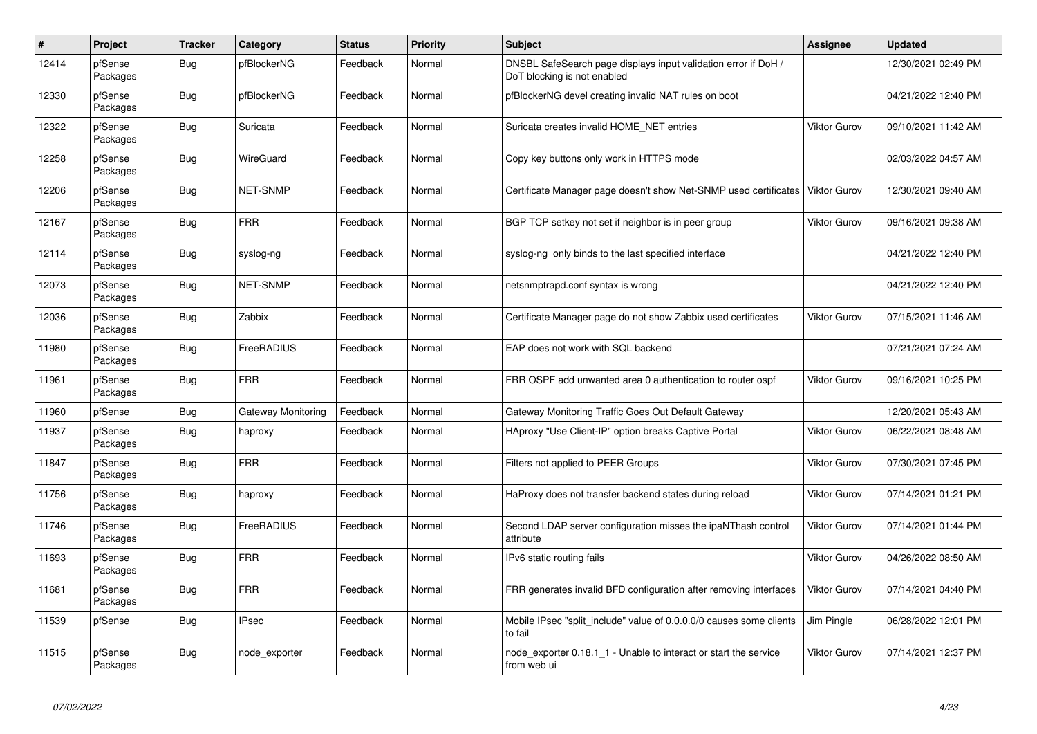| $\#$  | Project             | <b>Tracker</b> | Category           | <b>Status</b> | Priority | <b>Subject</b>                                                                                | <b>Assignee</b>     | <b>Updated</b>      |
|-------|---------------------|----------------|--------------------|---------------|----------|-----------------------------------------------------------------------------------------------|---------------------|---------------------|
| 12414 | pfSense<br>Packages | Bug            | pfBlockerNG        | Feedback      | Normal   | DNSBL SafeSearch page displays input validation error if DoH /<br>DoT blocking is not enabled |                     | 12/30/2021 02:49 PM |
| 12330 | pfSense<br>Packages | <b>Bug</b>     | pfBlockerNG        | Feedback      | Normal   | pfBlockerNG devel creating invalid NAT rules on boot                                          |                     | 04/21/2022 12:40 PM |
| 12322 | pfSense<br>Packages | <b>Bug</b>     | Suricata           | Feedback      | Normal   | Suricata creates invalid HOME NET entries                                                     | <b>Viktor Gurov</b> | 09/10/2021 11:42 AM |
| 12258 | pfSense<br>Packages | <b>Bug</b>     | WireGuard          | Feedback      | Normal   | Copy key buttons only work in HTTPS mode                                                      |                     | 02/03/2022 04:57 AM |
| 12206 | pfSense<br>Packages | <b>Bug</b>     | <b>NET-SNMP</b>    | Feedback      | Normal   | Certificate Manager page doesn't show Net-SNMP used certificates                              | <b>Viktor Gurov</b> | 12/30/2021 09:40 AM |
| 12167 | pfSense<br>Packages | <b>Bug</b>     | FRR                | Feedback      | Normal   | BGP TCP setkey not set if neighbor is in peer group                                           | Viktor Gurov        | 09/16/2021 09:38 AM |
| 12114 | pfSense<br>Packages | Bug            | syslog-ng          | Feedback      | Normal   | syslog-ng only binds to the last specified interface                                          |                     | 04/21/2022 12:40 PM |
| 12073 | pfSense<br>Packages | <b>Bug</b>     | <b>NET-SNMP</b>    | Feedback      | Normal   | netsnmptrapd.conf syntax is wrong                                                             |                     | 04/21/2022 12:40 PM |
| 12036 | pfSense<br>Packages | <b>Bug</b>     | Zabbix             | Feedback      | Normal   | Certificate Manager page do not show Zabbix used certificates                                 | <b>Viktor Gurov</b> | 07/15/2021 11:46 AM |
| 11980 | pfSense<br>Packages | Bug            | FreeRADIUS         | Feedback      | Normal   | EAP does not work with SQL backend                                                            |                     | 07/21/2021 07:24 AM |
| 11961 | pfSense<br>Packages | <b>Bug</b>     | FRR                | Feedback      | Normal   | FRR OSPF add unwanted area 0 authentication to router ospf                                    | Viktor Gurov        | 09/16/2021 10:25 PM |
| 11960 | pfSense             | <b>Bug</b>     | Gateway Monitoring | Feedback      | Normal   | Gateway Monitoring Traffic Goes Out Default Gateway                                           |                     | 12/20/2021 05:43 AM |
| 11937 | pfSense<br>Packages | <b>Bug</b>     | haproxy            | Feedback      | Normal   | HAproxy "Use Client-IP" option breaks Captive Portal                                          | Viktor Gurov        | 06/22/2021 08:48 AM |
| 11847 | pfSense<br>Packages | <b>Bug</b>     | <b>FRR</b>         | Feedback      | Normal   | Filters not applied to PEER Groups                                                            | <b>Viktor Gurov</b> | 07/30/2021 07:45 PM |
| 11756 | pfSense<br>Packages | <b>Bug</b>     | haproxy            | Feedback      | Normal   | HaProxy does not transfer backend states during reload                                        | <b>Viktor Gurov</b> | 07/14/2021 01:21 PM |
| 11746 | pfSense<br>Packages | <b>Bug</b>     | FreeRADIUS         | Feedback      | Normal   | Second LDAP server configuration misses the ipaNThash control<br>attribute                    | Viktor Gurov        | 07/14/2021 01:44 PM |
| 11693 | pfSense<br>Packages | Bug            | FRR                | Feedback      | Normal   | IPv6 static routing fails                                                                     | <b>Viktor Gurov</b> | 04/26/2022 08:50 AM |
| 11681 | pfSense<br>Packages | <b>Bug</b>     | <b>FRR</b>         | Feedback      | Normal   | FRR generates invalid BFD configuration after removing interfaces                             | <b>Viktor Gurov</b> | 07/14/2021 04:40 PM |
| 11539 | pfSense             | Bug            | <b>IPsec</b>       | Feedback      | Normal   | Mobile IPsec "split include" value of 0.0.0.0/0 causes some clients<br>to fail                | Jim Pingle          | 06/28/2022 12:01 PM |
| 11515 | pfSense<br>Packages | <b>Bug</b>     | node exporter      | Feedback      | Normal   | node exporter 0.18.1 1 - Unable to interact or start the service<br>from web ui               | Viktor Gurov        | 07/14/2021 12:37 PM |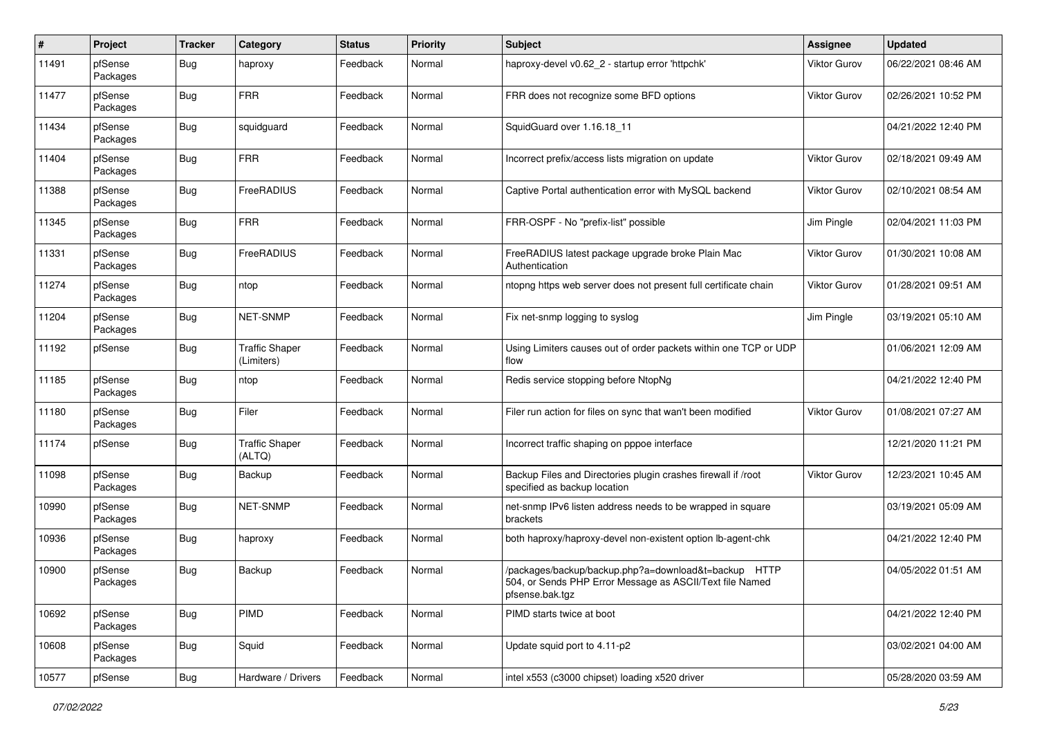| $\pmb{\#}$ | Project             | <b>Tracker</b> | Category                            | <b>Status</b> | <b>Priority</b> | <b>Subject</b>                                                                                                                      | <b>Assignee</b>     | <b>Updated</b>      |
|------------|---------------------|----------------|-------------------------------------|---------------|-----------------|-------------------------------------------------------------------------------------------------------------------------------------|---------------------|---------------------|
| 11491      | pfSense<br>Packages | Bug            | haproxy                             | Feedback      | Normal          | haproxy-devel v0.62 2 - startup error 'httpchk'                                                                                     | Viktor Gurov        | 06/22/2021 08:46 AM |
| 11477      | pfSense<br>Packages | Bug            | <b>FRR</b>                          | Feedback      | Normal          | FRR does not recognize some BFD options                                                                                             | Viktor Gurov        | 02/26/2021 10:52 PM |
| 11434      | pfSense<br>Packages | <b>Bug</b>     | squidguard                          | Feedback      | Normal          | SquidGuard over 1.16.18 11                                                                                                          |                     | 04/21/2022 12:40 PM |
| 11404      | pfSense<br>Packages | Bug            | <b>FRR</b>                          | Feedback      | Normal          | Incorrect prefix/access lists migration on update                                                                                   | <b>Viktor Gurov</b> | 02/18/2021 09:49 AM |
| 11388      | pfSense<br>Packages | Bug            | FreeRADIUS                          | Feedback      | Normal          | Captive Portal authentication error with MySQL backend                                                                              | Viktor Gurov        | 02/10/2021 08:54 AM |
| 11345      | pfSense<br>Packages | Bug            | <b>FRR</b>                          | Feedback      | Normal          | FRR-OSPF - No "prefix-list" possible                                                                                                | Jim Pingle          | 02/04/2021 11:03 PM |
| 11331      | pfSense<br>Packages | Bug            | FreeRADIUS                          | Feedback      | Normal          | FreeRADIUS latest package upgrade broke Plain Mac<br>Authentication                                                                 | Viktor Gurov        | 01/30/2021 10:08 AM |
| 11274      | pfSense<br>Packages | Bug            | ntop                                | Feedback      | Normal          | ntopng https web server does not present full certificate chain                                                                     | <b>Viktor Gurov</b> | 01/28/2021 09:51 AM |
| 11204      | pfSense<br>Packages | Bug            | NET-SNMP                            | Feedback      | Normal          | Fix net-snmp logging to syslog                                                                                                      | Jim Pingle          | 03/19/2021 05:10 AM |
| 11192      | pfSense             | Bug            | <b>Traffic Shaper</b><br>(Limiters) | Feedback      | Normal          | Using Limiters causes out of order packets within one TCP or UDP<br>flow                                                            |                     | 01/06/2021 12:09 AM |
| 11185      | pfSense<br>Packages | Bug            | ntop                                | Feedback      | Normal          | Redis service stopping before NtopNg                                                                                                |                     | 04/21/2022 12:40 PM |
| 11180      | pfSense<br>Packages | Bug            | Filer                               | Feedback      | Normal          | Filer run action for files on sync that wan't been modified                                                                         | Viktor Gurov        | 01/08/2021 07:27 AM |
| 11174      | pfSense             | Bug            | <b>Traffic Shaper</b><br>(ALTQ)     | Feedback      | Normal          | Incorrect traffic shaping on pppoe interface                                                                                        |                     | 12/21/2020 11:21 PM |
| 11098      | pfSense<br>Packages | Bug            | Backup                              | Feedback      | Normal          | Backup Files and Directories plugin crashes firewall if /root<br>specified as backup location                                       | Viktor Gurov        | 12/23/2021 10:45 AM |
| 10990      | pfSense<br>Packages | Bug            | <b>NET-SNMP</b>                     | Feedback      | Normal          | net-snmp IPv6 listen address needs to be wrapped in square<br>brackets                                                              |                     | 03/19/2021 05:09 AM |
| 10936      | pfSense<br>Packages | Bug            | haproxy                             | Feedback      | Normal          | both haproxy/haproxy-devel non-existent option lb-agent-chk                                                                         |                     | 04/21/2022 12:40 PM |
| 10900      | pfSense<br>Packages | <b>Bug</b>     | Backup                              | Feedback      | Normal          | /packages/backup/backup.php?a=download&t=backup HTTP<br>504, or Sends PHP Error Message as ASCII/Text file Named<br>pfsense.bak.tgz |                     | 04/05/2022 01:51 AM |
| 10692      | pfSense<br>Packages | <b>Bug</b>     | PIMD                                | Feedback      | Normal          | PIMD starts twice at boot                                                                                                           |                     | 04/21/2022 12:40 PM |
| 10608      | pfSense<br>Packages | <b>Bug</b>     | Squid                               | Feedback      | Normal          | Update squid port to 4.11-p2                                                                                                        |                     | 03/02/2021 04:00 AM |
| 10577      | pfSense             | <b>Bug</b>     | Hardware / Drivers                  | Feedback      | Normal          | intel x553 (c3000 chipset) loading x520 driver                                                                                      |                     | 05/28/2020 03:59 AM |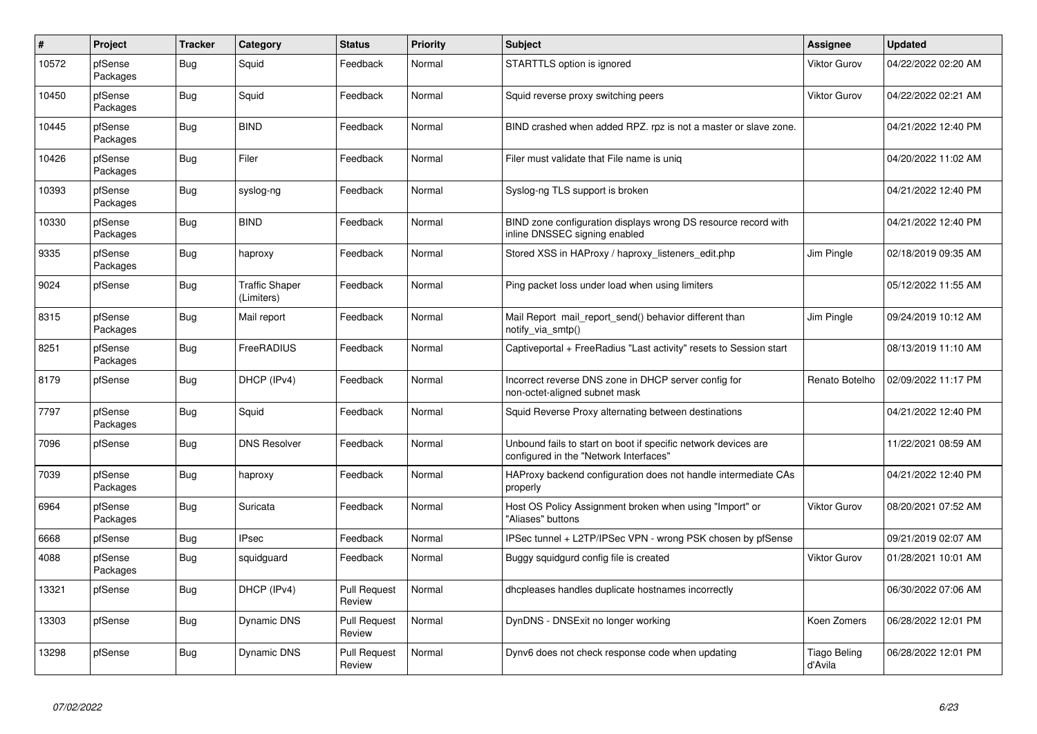| $\sharp$ | Project             | <b>Tracker</b> | Category                            | <b>Status</b>                 | <b>Priority</b> | <b>Subject</b>                                                                                           | Assignee                | <b>Updated</b>      |
|----------|---------------------|----------------|-------------------------------------|-------------------------------|-----------------|----------------------------------------------------------------------------------------------------------|-------------------------|---------------------|
| 10572    | pfSense<br>Packages | Bug            | Squid                               | Feedback                      | Normal          | STARTTLS option is ignored                                                                               | Viktor Gurov            | 04/22/2022 02:20 AM |
| 10450    | pfSense<br>Packages | Bug            | Squid                               | Feedback                      | Normal          | Squid reverse proxy switching peers                                                                      | <b>Viktor Gurov</b>     | 04/22/2022 02:21 AM |
| 10445    | pfSense<br>Packages | <b>Bug</b>     | <b>BIND</b>                         | Feedback                      | Normal          | BIND crashed when added RPZ, rpz is not a master or slave zone.                                          |                         | 04/21/2022 12:40 PM |
| 10426    | pfSense<br>Packages | Bug            | Filer                               | Feedback                      | Normal          | Filer must validate that File name is unig                                                               |                         | 04/20/2022 11:02 AM |
| 10393    | pfSense<br>Packages | Bug            | syslog-ng                           | Feedback                      | Normal          | Syslog-ng TLS support is broken                                                                          |                         | 04/21/2022 12:40 PM |
| 10330    | pfSense<br>Packages | <b>Bug</b>     | <b>BIND</b>                         | Feedback                      | Normal          | BIND zone configuration displays wrong DS resource record with<br>inline DNSSEC signing enabled          |                         | 04/21/2022 12:40 PM |
| 9335     | pfSense<br>Packages | Bug            | haproxy                             | Feedback                      | Normal          | Stored XSS in HAProxy / haproxy listeners edit.php                                                       | Jim Pingle              | 02/18/2019 09:35 AM |
| 9024     | pfSense             | Bug            | <b>Traffic Shaper</b><br>(Limiters) | Feedback                      | Normal          | Ping packet loss under load when using limiters                                                          |                         | 05/12/2022 11:55 AM |
| 8315     | pfSense<br>Packages | <b>Bug</b>     | Mail report                         | Feedback                      | Normal          | Mail Report mail_report_send() behavior different than<br>notify via smtp()                              | Jim Pingle              | 09/24/2019 10:12 AM |
| 8251     | pfSense<br>Packages | <b>Bug</b>     | FreeRADIUS                          | Feedback                      | Normal          | Captiveportal + FreeRadius "Last activity" resets to Session start                                       |                         | 08/13/2019 11:10 AM |
| 8179     | pfSense             | <b>Bug</b>     | DHCP (IPv4)                         | Feedback                      | Normal          | Incorrect reverse DNS zone in DHCP server config for<br>non-octet-aligned subnet mask                    | Renato Botelho          | 02/09/2022 11:17 PM |
| 7797     | pfSense<br>Packages | Bug            | Squid                               | Feedback                      | Normal          | Squid Reverse Proxy alternating between destinations                                                     |                         | 04/21/2022 12:40 PM |
| 7096     | pfSense             | Bug            | <b>DNS Resolver</b>                 | Feedback                      | Normal          | Unbound fails to start on boot if specific network devices are<br>configured in the "Network Interfaces" |                         | 11/22/2021 08:59 AM |
| 7039     | pfSense<br>Packages | Bug            | haproxy                             | Feedback                      | Normal          | HAProxy backend configuration does not handle intermediate CAs<br>properly                               |                         | 04/21/2022 12:40 PM |
| 6964     | pfSense<br>Packages | Bug            | Suricata                            | Feedback                      | Normal          | Host OS Policy Assignment broken when using "Import" or<br>"Aliases" buttons                             | <b>Viktor Gurov</b>     | 08/20/2021 07:52 AM |
| 6668     | pfSense             | <b>Bug</b>     | <b>IPsec</b>                        | Feedback                      | Normal          | IPSec tunnel + L2TP/IPSec VPN - wrong PSK chosen by pfSense                                              |                         | 09/21/2019 02:07 AM |
| 4088     | pfSense<br>Packages | Bug            | squidguard                          | Feedback                      | Normal          | Buggy squidgurd config file is created                                                                   | <b>Viktor Gurov</b>     | 01/28/2021 10:01 AM |
| 13321    | pfSense             | <b>Bug</b>     | DHCP (IPv4)                         | <b>Pull Request</b><br>Review | Normal          | dhcpleases handles duplicate hostnames incorrectly                                                       |                         | 06/30/2022 07:06 AM |
| 13303    | pfSense             | <b>Bug</b>     | Dynamic DNS                         | <b>Pull Request</b><br>Review | Normal          | DynDNS - DNSExit no longer working                                                                       | Koen Zomers             | 06/28/2022 12:01 PM |
| 13298    | pfSense             | Bug            | Dynamic DNS                         | <b>Pull Request</b><br>Review | Normal          | Dynv6 does not check response code when updating                                                         | Tiago Beling<br>d'Avila | 06/28/2022 12:01 PM |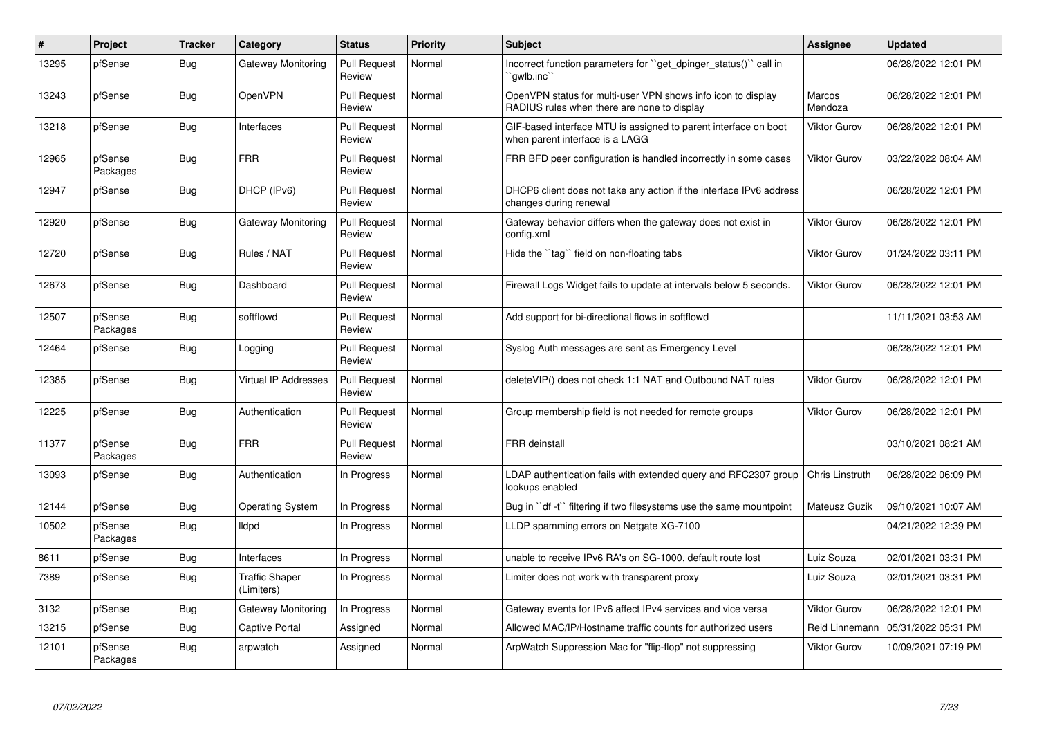| $\sharp$ | Project             | <b>Tracker</b> | Category                            | <b>Status</b>                 | <b>Priority</b> | <b>Subject</b>                                                                                              | <b>Assignee</b>     | <b>Updated</b>      |
|----------|---------------------|----------------|-------------------------------------|-------------------------------|-----------------|-------------------------------------------------------------------------------------------------------------|---------------------|---------------------|
| 13295    | pfSense             | <b>Bug</b>     | Gateway Monitoring                  | <b>Pull Request</b><br>Review | Normal          | Incorrect function parameters for "get dpinger status()" call in<br>`qwlb.inc`                              |                     | 06/28/2022 12:01 PM |
| 13243    | pfSense             | Bug            | OpenVPN                             | <b>Pull Request</b><br>Review | Normal          | OpenVPN status for multi-user VPN shows info icon to display<br>RADIUS rules when there are none to display | Marcos<br>Mendoza   | 06/28/2022 12:01 PM |
| 13218    | pfSense             | <b>Bug</b>     | Interfaces                          | <b>Pull Request</b><br>Review | Normal          | GIF-based interface MTU is assigned to parent interface on boot<br>when parent interface is a LAGG          | <b>Viktor Gurov</b> | 06/28/2022 12:01 PM |
| 12965    | pfSense<br>Packages | Bug            | <b>FRR</b>                          | <b>Pull Request</b><br>Review | Normal          | FRR BFD peer configuration is handled incorrectly in some cases                                             | Viktor Gurov        | 03/22/2022 08:04 AM |
| 12947    | pfSense             | Bug            | DHCP (IPv6)                         | <b>Pull Request</b><br>Review | Normal          | DHCP6 client does not take any action if the interface IPv6 address<br>changes during renewal               |                     | 06/28/2022 12:01 PM |
| 12920    | pfSense             | <b>Bug</b>     | Gateway Monitoring                  | <b>Pull Request</b><br>Review | Normal          | Gateway behavior differs when the gateway does not exist in<br>config.xml                                   | <b>Viktor Gurov</b> | 06/28/2022 12:01 PM |
| 12720    | pfSense             | <b>Bug</b>     | Rules / NAT                         | <b>Pull Request</b><br>Review | Normal          | Hide the "tag" field on non-floating tabs                                                                   | <b>Viktor Gurov</b> | 01/24/2022 03:11 PM |
| 12673    | pfSense             | <b>Bug</b>     | Dashboard                           | <b>Pull Request</b><br>Review | Normal          | Firewall Logs Widget fails to update at intervals below 5 seconds.                                          | <b>Viktor Gurov</b> | 06/28/2022 12:01 PM |
| 12507    | pfSense<br>Packages | Bug            | softflowd                           | <b>Pull Request</b><br>Review | Normal          | Add support for bi-directional flows in softflowd                                                           |                     | 11/11/2021 03:53 AM |
| 12464    | pfSense             | Bug            | Logging                             | <b>Pull Request</b><br>Review | Normal          | Syslog Auth messages are sent as Emergency Level                                                            |                     | 06/28/2022 12:01 PM |
| 12385    | pfSense             | Bug            | Virtual IP Addresses                | <b>Pull Request</b><br>Review | Normal          | delete VIP() does not check 1:1 NAT and Outbound NAT rules                                                  | <b>Viktor Gurov</b> | 06/28/2022 12:01 PM |
| 12225    | pfSense             | Bug            | Authentication                      | <b>Pull Request</b><br>Review | Normal          | Group membership field is not needed for remote groups                                                      | Viktor Gurov        | 06/28/2022 12:01 PM |
| 11377    | pfSense<br>Packages | Bug            | <b>FRR</b>                          | <b>Pull Request</b><br>Review | Normal          | <b>FRR</b> deinstall                                                                                        |                     | 03/10/2021 08:21 AM |
| 13093    | pfSense             | <b>Bug</b>     | Authentication                      | In Progress                   | Normal          | LDAP authentication fails with extended query and RFC2307 group<br>lookups enabled                          | Chris Linstruth     | 06/28/2022 06:09 PM |
| 12144    | pfSense             | <b>Bug</b>     | <b>Operating System</b>             | In Progress                   | Normal          | Bug in "df -t" filtering if two filesystems use the same mountpoint                                         | Mateusz Guzik       | 09/10/2021 10:07 AM |
| 10502    | pfSense<br>Packages | <b>Bug</b>     | <b>Ildpd</b>                        | In Progress                   | Normal          | LLDP spamming errors on Netgate XG-7100                                                                     |                     | 04/21/2022 12:39 PM |
| 8611     | pfSense             | Bug            | Interfaces                          | In Progress                   | Normal          | unable to receive IPv6 RA's on SG-1000, default route lost                                                  | Luiz Souza          | 02/01/2021 03:31 PM |
| 7389     | pfSense             | Bug            | <b>Traffic Shaper</b><br>(Limiters) | In Progress                   | Normal          | Limiter does not work with transparent proxy                                                                | Luiz Souza          | 02/01/2021 03:31 PM |
| 3132     | pfSense             | Bug            | Gateway Monitoring                  | In Progress                   | Normal          | Gateway events for IPv6 affect IPv4 services and vice versa                                                 | <b>Viktor Gurov</b> | 06/28/2022 12:01 PM |
| 13215    | pfSense             | Bug            | <b>Captive Portal</b>               | Assigned                      | Normal          | Allowed MAC/IP/Hostname traffic counts for authorized users                                                 | Reid Linnemann      | 05/31/2022 05:31 PM |
| 12101    | pfSense<br>Packages | Bug            | arpwatch                            | Assigned                      | Normal          | ArpWatch Suppression Mac for "flip-flop" not suppressing                                                    | <b>Viktor Gurov</b> | 10/09/2021 07:19 PM |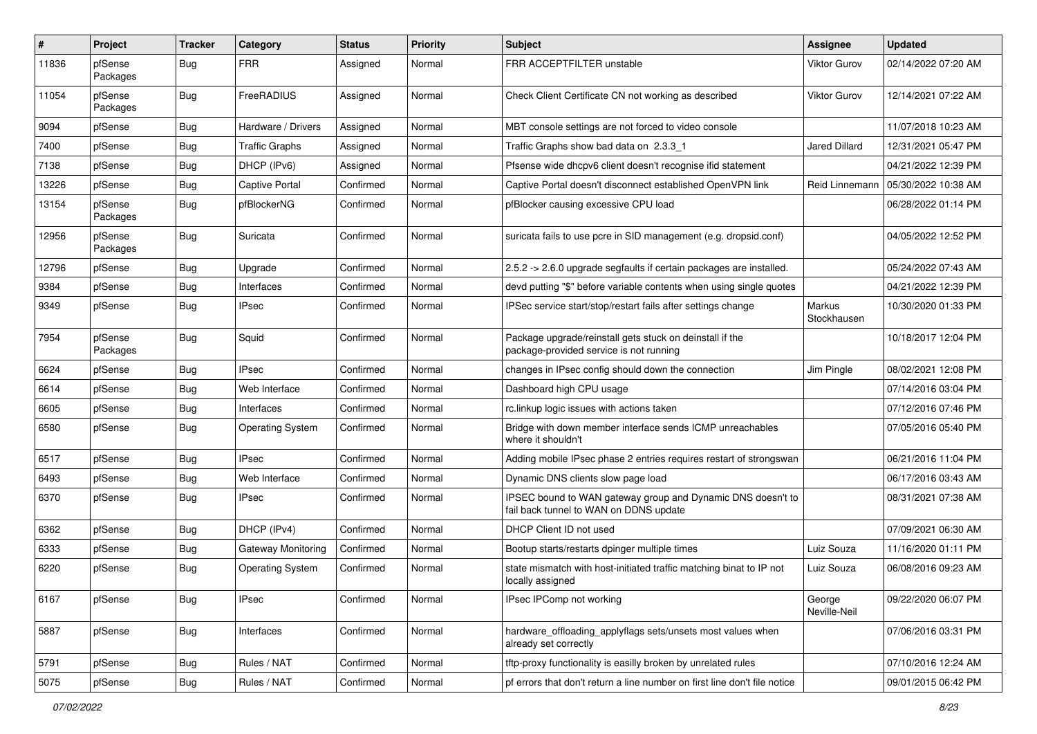| $\sharp$ | Project             | <b>Tracker</b> | Category                | <b>Status</b> | <b>Priority</b> | <b>Subject</b>                                                                                        | <b>Assignee</b>        | <b>Updated</b>      |
|----------|---------------------|----------------|-------------------------|---------------|-----------------|-------------------------------------------------------------------------------------------------------|------------------------|---------------------|
| 11836    | pfSense<br>Packages | Bug            | <b>FRR</b>              | Assigned      | Normal          | FRR ACCEPTFILTER unstable                                                                             | Viktor Gurov           | 02/14/2022 07:20 AM |
| 11054    | pfSense<br>Packages | Bug            | FreeRADIUS              | Assigned      | Normal          | Check Client Certificate CN not working as described                                                  | Viktor Gurov           | 12/14/2021 07:22 AM |
| 9094     | pfSense             | <b>Bug</b>     | Hardware / Drivers      | Assigned      | Normal          | MBT console settings are not forced to video console                                                  |                        | 11/07/2018 10:23 AM |
| 7400     | pfSense             | <b>Bug</b>     | <b>Traffic Graphs</b>   | Assigned      | Normal          | Traffic Graphs show bad data on 2.3.3 1                                                               | <b>Jared Dillard</b>   | 12/31/2021 05:47 PM |
| 7138     | pfSense             | Bug            | DHCP (IPv6)             | Assigned      | Normal          | Pfsense wide dhcpv6 client doesn't recognise ifid statement                                           |                        | 04/21/2022 12:39 PM |
| 13226    | pfSense             | Bug            | Captive Portal          | Confirmed     | Normal          | Captive Portal doesn't disconnect established OpenVPN link                                            | Reid Linnemann         | 05/30/2022 10:38 AM |
| 13154    | pfSense<br>Packages | Bug            | pfBlockerNG             | Confirmed     | Normal          | pfBlocker causing excessive CPU load                                                                  |                        | 06/28/2022 01:14 PM |
| 12956    | pfSense<br>Packages | Bug            | Suricata                | Confirmed     | Normal          | suricata fails to use pcre in SID management (e.g. dropsid.conf)                                      |                        | 04/05/2022 12:52 PM |
| 12796    | pfSense             | <b>Bug</b>     | Upgrade                 | Confirmed     | Normal          | 2.5.2 -> 2.6.0 upgrade segfaults if certain packages are installed.                                   |                        | 05/24/2022 07:43 AM |
| 9384     | pfSense             | <b>Bug</b>     | Interfaces              | Confirmed     | Normal          | devd putting "\$" before variable contents when using single quotes                                   |                        | 04/21/2022 12:39 PM |
| 9349     | pfSense             | Bug            | <b>IPsec</b>            | Confirmed     | Normal          | IPSec service start/stop/restart fails after settings change                                          | Markus<br>Stockhausen  | 10/30/2020 01:33 PM |
| 7954     | pfSense<br>Packages | Bug            | Squid                   | Confirmed     | Normal          | Package upgrade/reinstall gets stuck on deinstall if the<br>package-provided service is not running   |                        | 10/18/2017 12:04 PM |
| 6624     | pfSense             | Bug            | <b>IPsec</b>            | Confirmed     | Normal          | changes in IPsec config should down the connection                                                    | Jim Pingle             | 08/02/2021 12:08 PM |
| 6614     | pfSense             | Bug            | Web Interface           | Confirmed     | Normal          | Dashboard high CPU usage                                                                              |                        | 07/14/2016 03:04 PM |
| 6605     | pfSense             | <b>Bug</b>     | Interfaces              | Confirmed     | Normal          | rc.linkup logic issues with actions taken                                                             |                        | 07/12/2016 07:46 PM |
| 6580     | pfSense             | Bug            | <b>Operating System</b> | Confirmed     | Normal          | Bridge with down member interface sends ICMP unreachables<br>where it shouldn't                       |                        | 07/05/2016 05:40 PM |
| 6517     | pfSense             | Bug            | <b>IPsec</b>            | Confirmed     | Normal          | Adding mobile IPsec phase 2 entries requires restart of strongswan                                    |                        | 06/21/2016 11:04 PM |
| 6493     | pfSense             | Bug            | Web Interface           | Confirmed     | Normal          | Dynamic DNS clients slow page load                                                                    |                        | 06/17/2016 03:43 AM |
| 6370     | pfSense             | Bug            | <b>IPsec</b>            | Confirmed     | Normal          | IPSEC bound to WAN gateway group and Dynamic DNS doesn't to<br>fail back tunnel to WAN on DDNS update |                        | 08/31/2021 07:38 AM |
| 6362     | pfSense             | Bug            | DHCP (IPv4)             | Confirmed     | Normal          | DHCP Client ID not used                                                                               |                        | 07/09/2021 06:30 AM |
| 6333     | pfSense             | <b>Bug</b>     | Gateway Monitoring      | Confirmed     | Normal          | Bootup starts/restarts dpinger multiple times                                                         | Luiz Souza             | 11/16/2020 01:11 PM |
| 6220     | pfSense             | <b>Bug</b>     | <b>Operating System</b> | Confirmed     | Normal          | state mismatch with host-initiated traffic matching binat to IP not<br>locally assigned               | Luiz Souza             | 06/08/2016 09:23 AM |
| 6167     | pfSense             | <b>Bug</b>     | <b>IPsec</b>            | Confirmed     | Normal          | IPsec IPComp not working                                                                              | George<br>Neville-Neil | 09/22/2020 06:07 PM |
| 5887     | pfSense             | <b>Bug</b>     | Interfaces              | Confirmed     | Normal          | hardware_offloading_applyflags sets/unsets most values when<br>already set correctly                  |                        | 07/06/2016 03:31 PM |
| 5791     | pfSense             | <b>Bug</b>     | Rules / NAT             | Confirmed     | Normal          | tftp-proxy functionality is easilly broken by unrelated rules                                         |                        | 07/10/2016 12:24 AM |
| 5075     | pfSense             | Bug            | Rules / NAT             | Confirmed     | Normal          | pf errors that don't return a line number on first line don't file notice                             |                        | 09/01/2015 06:42 PM |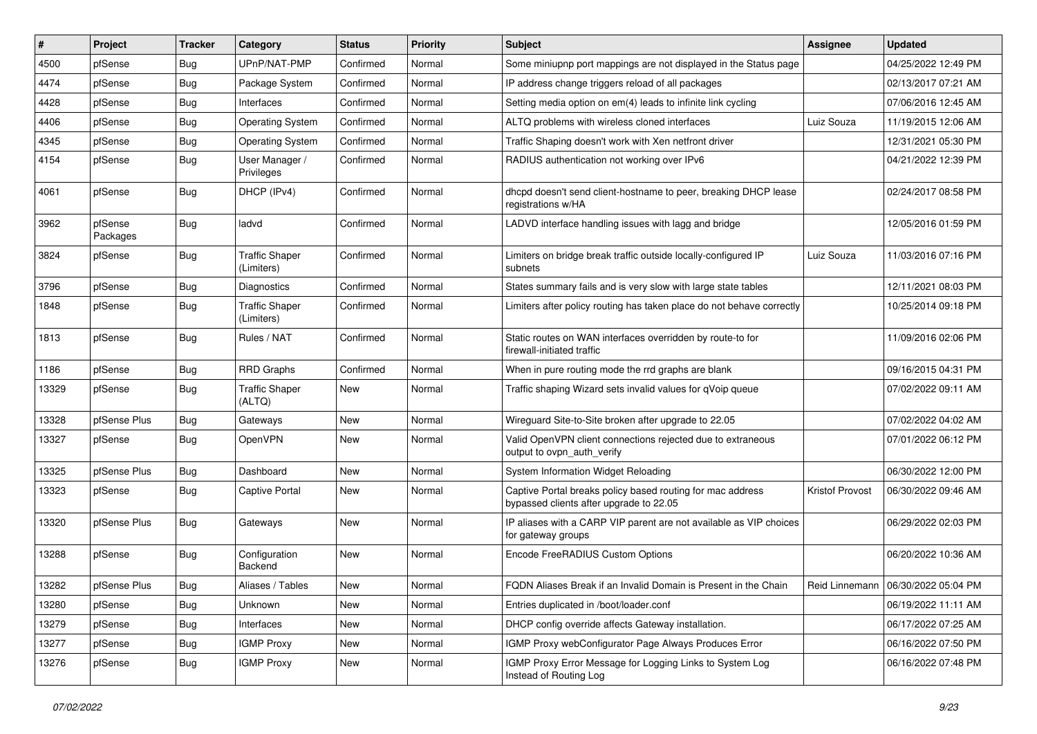| #     | Project             | <b>Tracker</b> | Category                            | <b>Status</b> | <b>Priority</b> | <b>Subject</b>                                                                                        | <b>Assignee</b> | <b>Updated</b>                       |
|-------|---------------------|----------------|-------------------------------------|---------------|-----------------|-------------------------------------------------------------------------------------------------------|-----------------|--------------------------------------|
| 4500  | pfSense             | <b>Bug</b>     | UPnP/NAT-PMP                        | Confirmed     | Normal          | Some miniupnp port mappings are not displayed in the Status page                                      |                 | 04/25/2022 12:49 PM                  |
| 4474  | pfSense             | <b>Bug</b>     | Package System                      | Confirmed     | Normal          | IP address change triggers reload of all packages                                                     |                 | 02/13/2017 07:21 AM                  |
| 4428  | pfSense             | <b>Bug</b>     | Interfaces                          | Confirmed     | Normal          | Setting media option on em(4) leads to infinite link cycling                                          |                 | 07/06/2016 12:45 AM                  |
| 4406  | pfSense             | <b>Bug</b>     | <b>Operating System</b>             | Confirmed     | Normal          | ALTQ problems with wireless cloned interfaces                                                         | Luiz Souza      | 11/19/2015 12:06 AM                  |
| 4345  | pfSense             | <b>Bug</b>     | <b>Operating System</b>             | Confirmed     | Normal          | Traffic Shaping doesn't work with Xen netfront driver                                                 |                 | 12/31/2021 05:30 PM                  |
| 4154  | pfSense             | <b>Bug</b>     | User Manager /<br>Privileges        | Confirmed     | Normal          | RADIUS authentication not working over IPv6                                                           |                 | 04/21/2022 12:39 PM                  |
| 4061  | pfSense             | <b>Bug</b>     | DHCP (IPv4)                         | Confirmed     | Normal          | dhcpd doesn't send client-hostname to peer, breaking DHCP lease<br>registrations w/HA                 |                 | 02/24/2017 08:58 PM                  |
| 3962  | pfSense<br>Packages | <b>Bug</b>     | ladvd                               | Confirmed     | Normal          | LADVD interface handling issues with lagg and bridge                                                  |                 | 12/05/2016 01:59 PM                  |
| 3824  | pfSense             | Bug            | <b>Traffic Shaper</b><br>(Limiters) | Confirmed     | Normal          | Limiters on bridge break traffic outside locally-configured IP<br>subnets                             | Luiz Souza      | 11/03/2016 07:16 PM                  |
| 3796  | pfSense             | <b>Bug</b>     | <b>Diagnostics</b>                  | Confirmed     | Normal          | States summary fails and is very slow with large state tables                                         |                 | 12/11/2021 08:03 PM                  |
| 1848  | pfSense             | <b>Bug</b>     | <b>Traffic Shaper</b><br>(Limiters) | Confirmed     | Normal          | Limiters after policy routing has taken place do not behave correctly                                 |                 | 10/25/2014 09:18 PM                  |
| 1813  | pfSense             | <b>Bug</b>     | Rules / NAT                         | Confirmed     | Normal          | Static routes on WAN interfaces overridden by route-to for<br>firewall-initiated traffic              |                 | 11/09/2016 02:06 PM                  |
| 1186  | pfSense             | <b>Bug</b>     | <b>RRD Graphs</b>                   | Confirmed     | Normal          | When in pure routing mode the rrd graphs are blank                                                    |                 | 09/16/2015 04:31 PM                  |
| 13329 | pfSense             | <b>Bug</b>     | <b>Traffic Shaper</b><br>(ALTQ)     | New           | Normal          | Traffic shaping Wizard sets invalid values for qVoip queue                                            |                 | 07/02/2022 09:11 AM                  |
| 13328 | pfSense Plus        | <b>Bug</b>     | Gateways                            | New           | Normal          | Wireguard Site-to-Site broken after upgrade to 22.05                                                  |                 | 07/02/2022 04:02 AM                  |
| 13327 | pfSense             | <b>Bug</b>     | OpenVPN                             | New           | Normal          | Valid OpenVPN client connections rejected due to extraneous<br>output to ovpn_auth_verify             |                 | 07/01/2022 06:12 PM                  |
| 13325 | pfSense Plus        | <b>Bug</b>     | Dashboard                           | New           | Normal          | System Information Widget Reloading                                                                   |                 | 06/30/2022 12:00 PM                  |
| 13323 | pfSense             | <b>Bug</b>     | <b>Captive Portal</b>               | New           | Normal          | Captive Portal breaks policy based routing for mac address<br>bypassed clients after upgrade to 22.05 | Kristof Provost | 06/30/2022 09:46 AM                  |
| 13320 | pfSense Plus        | <b>Bug</b>     | Gateways                            | <b>New</b>    | Normal          | IP aliases with a CARP VIP parent are not available as VIP choices<br>for gateway groups              |                 | 06/29/2022 02:03 PM                  |
| 13288 | pfSense             | <b>Bug</b>     | Configuration<br>Backend            | New           | Normal          | Encode FreeRADIUS Custom Options                                                                      |                 | 06/20/2022 10:36 AM                  |
| 13282 | pfSense Plus        | <b>Bug</b>     | Aliases / Tables                    | New           | Normal          | FQDN Aliases Break if an Invalid Domain is Present in the Chain                                       |                 | Reid Linnemann   06/30/2022 05:04 PM |
| 13280 | pfSense             | <b>Bug</b>     | Unknown                             | New           | Normal          | Entries duplicated in /boot/loader.conf                                                               |                 | 06/19/2022 11:11 AM                  |
| 13279 | pfSense             | <b>Bug</b>     | Interfaces                          | New           | Normal          | DHCP config override affects Gateway installation.                                                    |                 | 06/17/2022 07:25 AM                  |
| 13277 | pfSense             | <b>Bug</b>     | <b>IGMP Proxy</b>                   | New           | Normal          | IGMP Proxy webConfigurator Page Always Produces Error                                                 |                 | 06/16/2022 07:50 PM                  |
| 13276 | pfSense             | <b>Bug</b>     | <b>IGMP Proxy</b>                   | New           | Normal          | IGMP Proxy Error Message for Logging Links to System Log<br>Instead of Routing Log                    |                 | 06/16/2022 07:48 PM                  |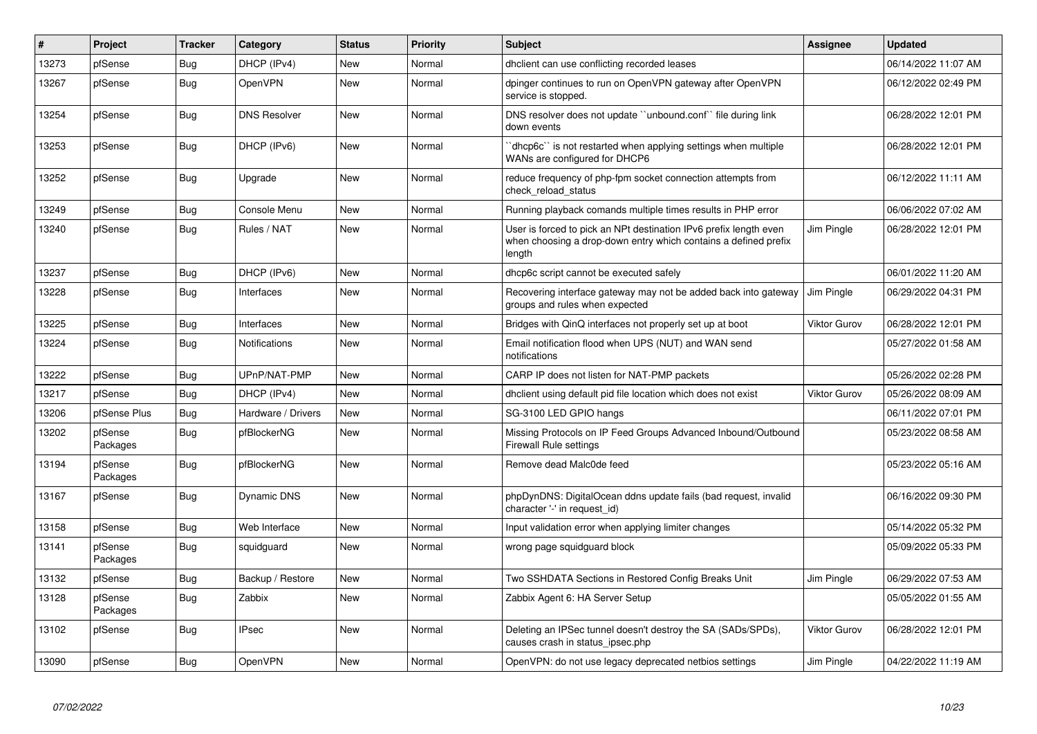| #     | Project             | <b>Tracker</b> | Category            | <b>Status</b> | Priority | <b>Subject</b>                                                                                                                                 | <b>Assignee</b>     | <b>Updated</b>      |
|-------|---------------------|----------------|---------------------|---------------|----------|------------------------------------------------------------------------------------------------------------------------------------------------|---------------------|---------------------|
| 13273 | pfSense             | <b>Bug</b>     | DHCP (IPv4)         | <b>New</b>    | Normal   | dhclient can use conflicting recorded leases                                                                                                   |                     | 06/14/2022 11:07 AM |
| 13267 | pfSense             | Bug            | <b>OpenVPN</b>      | <b>New</b>    | Normal   | dpinger continues to run on OpenVPN gateway after OpenVPN<br>service is stopped.                                                               |                     | 06/12/2022 02:49 PM |
| 13254 | pfSense             | Bug            | <b>DNS Resolver</b> | <b>New</b>    | Normal   | DNS resolver does not update "unbound.conf" file during link<br>down events                                                                    |                     | 06/28/2022 12:01 PM |
| 13253 | pfSense             | Bug            | DHCP (IPv6)         | New           | Normal   | dhcp6c" is not restarted when applying settings when multiple<br>WANs are configured for DHCP6                                                 |                     | 06/28/2022 12:01 PM |
| 13252 | pfSense             | Bug            | Upgrade             | New           | Normal   | reduce frequency of php-fpm socket connection attempts from<br>check reload status                                                             |                     | 06/12/2022 11:11 AM |
| 13249 | pfSense             | <b>Bug</b>     | Console Menu        | New           | Normal   | Running playback comands multiple times results in PHP error                                                                                   |                     | 06/06/2022 07:02 AM |
| 13240 | pfSense             | <b>Bug</b>     | Rules / NAT         | <b>New</b>    | Normal   | User is forced to pick an NPt destination IPv6 prefix length even<br>when choosing a drop-down entry which contains a defined prefix<br>length | Jim Pingle          | 06/28/2022 12:01 PM |
| 13237 | pfSense             | Bug            | DHCP (IPv6)         | <b>New</b>    | Normal   | dhcp6c script cannot be executed safely                                                                                                        |                     | 06/01/2022 11:20 AM |
| 13228 | pfSense             | Bug            | Interfaces          | <b>New</b>    | Normal   | Recovering interface gateway may not be added back into gateway<br>groups and rules when expected                                              | Jim Pingle          | 06/29/2022 04:31 PM |
| 13225 | pfSense             | <b>Bug</b>     | Interfaces          | <b>New</b>    | Normal   | Bridges with QinQ interfaces not properly set up at boot                                                                                       | <b>Viktor Gurov</b> | 06/28/2022 12:01 PM |
| 13224 | pfSense             | <b>Bug</b>     | Notifications       | New           | Normal   | Email notification flood when UPS (NUT) and WAN send<br>notifications                                                                          |                     | 05/27/2022 01:58 AM |
| 13222 | pfSense             | <b>Bug</b>     | UPnP/NAT-PMP        | <b>New</b>    | Normal   | CARP IP does not listen for NAT-PMP packets                                                                                                    |                     | 05/26/2022 02:28 PM |
| 13217 | pfSense             | Bug            | DHCP (IPv4)         | <b>New</b>    | Normal   | dhclient using default pid file location which does not exist                                                                                  | <b>Viktor Gurov</b> | 05/26/2022 08:09 AM |
| 13206 | pfSense Plus        | <b>Bug</b>     | Hardware / Drivers  | New           | Normal   | SG-3100 LED GPIO hangs                                                                                                                         |                     | 06/11/2022 07:01 PM |
| 13202 | pfSense<br>Packages | <b>Bug</b>     | pfBlockerNG         | <b>New</b>    | Normal   | Missing Protocols on IP Feed Groups Advanced Inbound/Outbound<br><b>Firewall Rule settings</b>                                                 |                     | 05/23/2022 08:58 AM |
| 13194 | pfSense<br>Packages | <b>Bug</b>     | pfBlockerNG         | <b>New</b>    | Normal   | Remove dead Malc0de feed                                                                                                                       |                     | 05/23/2022 05:16 AM |
| 13167 | pfSense             | Bug            | Dynamic DNS         | New           | Normal   | phpDynDNS: DigitalOcean ddns update fails (bad request, invalid<br>character '-' in request_id)                                                |                     | 06/16/2022 09:30 PM |
| 13158 | pfSense             | Bug            | Web Interface       | <b>New</b>    | Normal   | Input validation error when applying limiter changes                                                                                           |                     | 05/14/2022 05:32 PM |
| 13141 | pfSense<br>Packages | Bug            | squidguard          | New           | Normal   | wrong page squidguard block                                                                                                                    |                     | 05/09/2022 05:33 PM |
| 13132 | pfSense             | Bug            | Backup / Restore    | <b>New</b>    | Normal   | Two SSHDATA Sections in Restored Config Breaks Unit                                                                                            | Jim Pingle          | 06/29/2022 07:53 AM |
| 13128 | pfSense<br>Packages | <b>Bug</b>     | Zabbix              | New           | Normal   | Zabbix Agent 6: HA Server Setup                                                                                                                |                     | 05/05/2022 01:55 AM |
| 13102 | pfSense             | Bug            | <b>IPsec</b>        | New           | Normal   | Deleting an IPSec tunnel doesn't destroy the SA (SADs/SPDs),<br>causes crash in status ipsec.php                                               | <b>Viktor Gurov</b> | 06/28/2022 12:01 PM |
| 13090 | pfSense             | <b>Bug</b>     | OpenVPN             | New           | Normal   | OpenVPN: do not use legacy deprecated netbios settings                                                                                         | Jim Pingle          | 04/22/2022 11:19 AM |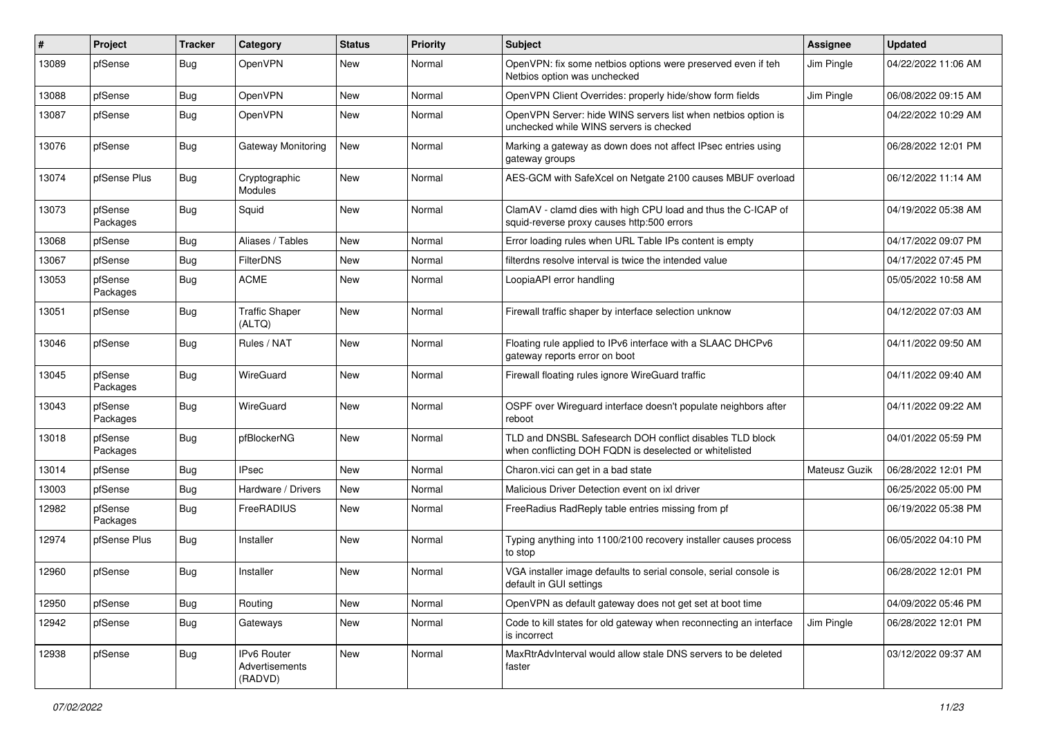| #     | Project             | <b>Tracker</b> | Category                                 | <b>Status</b> | Priority | <b>Subject</b>                                                                                                     | <b>Assignee</b> | <b>Updated</b>      |
|-------|---------------------|----------------|------------------------------------------|---------------|----------|--------------------------------------------------------------------------------------------------------------------|-----------------|---------------------|
| 13089 | pfSense             | <b>Bug</b>     | OpenVPN                                  | New           | Normal   | OpenVPN: fix some netbios options were preserved even if teh<br>Netbios option was unchecked                       | Jim Pingle      | 04/22/2022 11:06 AM |
| 13088 | pfSense             | <b>Bug</b>     | OpenVPN                                  | New           | Normal   | OpenVPN Client Overrides: properly hide/show form fields                                                           | Jim Pingle      | 06/08/2022 09:15 AM |
| 13087 | pfSense             | <b>Bug</b>     | OpenVPN                                  | New           | Normal   | OpenVPN Server: hide WINS servers list when netbios option is<br>unchecked while WINS servers is checked           |                 | 04/22/2022 10:29 AM |
| 13076 | pfSense             | <b>Bug</b>     | Gateway Monitoring                       | New           | Normal   | Marking a gateway as down does not affect IPsec entries using<br>gateway groups                                    |                 | 06/28/2022 12:01 PM |
| 13074 | pfSense Plus        | <b>Bug</b>     | Cryptographic<br>Modules                 | New           | Normal   | AES-GCM with SafeXcel on Netgate 2100 causes MBUF overload                                                         |                 | 06/12/2022 11:14 AM |
| 13073 | pfSense<br>Packages | <b>Bug</b>     | Squid                                    | New           | Normal   | ClamAV - clamd dies with high CPU load and thus the C-ICAP of<br>squid-reverse proxy causes http:500 errors        |                 | 04/19/2022 05:38 AM |
| 13068 | pfSense             | <b>Bug</b>     | Aliases / Tables                         | New           | Normal   | Error loading rules when URL Table IPs content is empty                                                            |                 | 04/17/2022 09:07 PM |
| 13067 | pfSense             | <b>Bug</b>     | <b>FilterDNS</b>                         | New           | Normal   | filterdns resolve interval is twice the intended value                                                             |                 | 04/17/2022 07:45 PM |
| 13053 | pfSense<br>Packages | <b>Bug</b>     | <b>ACME</b>                              | New           | Normal   | LoopiaAPI error handling                                                                                           |                 | 05/05/2022 10:58 AM |
| 13051 | pfSense             | Bug            | <b>Traffic Shaper</b><br>(ALTQ)          | New           | Normal   | Firewall traffic shaper by interface selection unknow                                                              |                 | 04/12/2022 07:03 AM |
| 13046 | pfSense             | Bug            | Rules / NAT                              | <b>New</b>    | Normal   | Floating rule applied to IPv6 interface with a SLAAC DHCPv6<br>gateway reports error on boot                       |                 | 04/11/2022 09:50 AM |
| 13045 | pfSense<br>Packages | <b>Bug</b>     | WireGuard                                | <b>New</b>    | Normal   | Firewall floating rules ignore WireGuard traffic                                                                   |                 | 04/11/2022 09:40 AM |
| 13043 | pfSense<br>Packages | <b>Bug</b>     | WireGuard                                | New           | Normal   | OSPF over Wireguard interface doesn't populate neighbors after<br>reboot                                           |                 | 04/11/2022 09:22 AM |
| 13018 | pfSense<br>Packages | Bug            | pfBlockerNG                              | New           | Normal   | TLD and DNSBL Safesearch DOH conflict disables TLD block<br>when conflicting DOH FQDN is deselected or whitelisted |                 | 04/01/2022 05:59 PM |
| 13014 | pfSense             | <b>Bug</b>     | <b>IPsec</b>                             | <b>New</b>    | Normal   | Charon.vici can get in a bad state                                                                                 | Mateusz Guzik   | 06/28/2022 12:01 PM |
| 13003 | pfSense             | <b>Bug</b>     | Hardware / Drivers                       | New           | Normal   | Malicious Driver Detection event on ixl driver                                                                     |                 | 06/25/2022 05:00 PM |
| 12982 | pfSense<br>Packages | <b>Bug</b>     | FreeRADIUS                               | New           | Normal   | FreeRadius RadReply table entries missing from pf                                                                  |                 | 06/19/2022 05:38 PM |
| 12974 | pfSense Plus        | <b>Bug</b>     | Installer                                | New           | Normal   | Typing anything into 1100/2100 recovery installer causes process<br>to stop                                        |                 | 06/05/2022 04:10 PM |
| 12960 | pfSense             | <b>Bug</b>     | Installer                                | New           | Normal   | VGA installer image defaults to serial console, serial console is<br>default in GUI settings                       |                 | 06/28/2022 12:01 PM |
| 12950 | pfSense             | Bug            | Routing                                  | New           | Normal   | OpenVPN as default gateway does not get set at boot time                                                           |                 | 04/09/2022 05:46 PM |
| 12942 | pfSense             | <b>Bug</b>     | Gateways                                 | New           | Normal   | Code to kill states for old gateway when reconnecting an interface<br>is incorrect                                 | Jim Pingle      | 06/28/2022 12:01 PM |
| 12938 | pfSense             | <b>Bug</b>     | IPv6 Router<br>Advertisements<br>(RADVD) | New           | Normal   | MaxRtrAdvInterval would allow stale DNS servers to be deleted<br>faster                                            |                 | 03/12/2022 09:37 AM |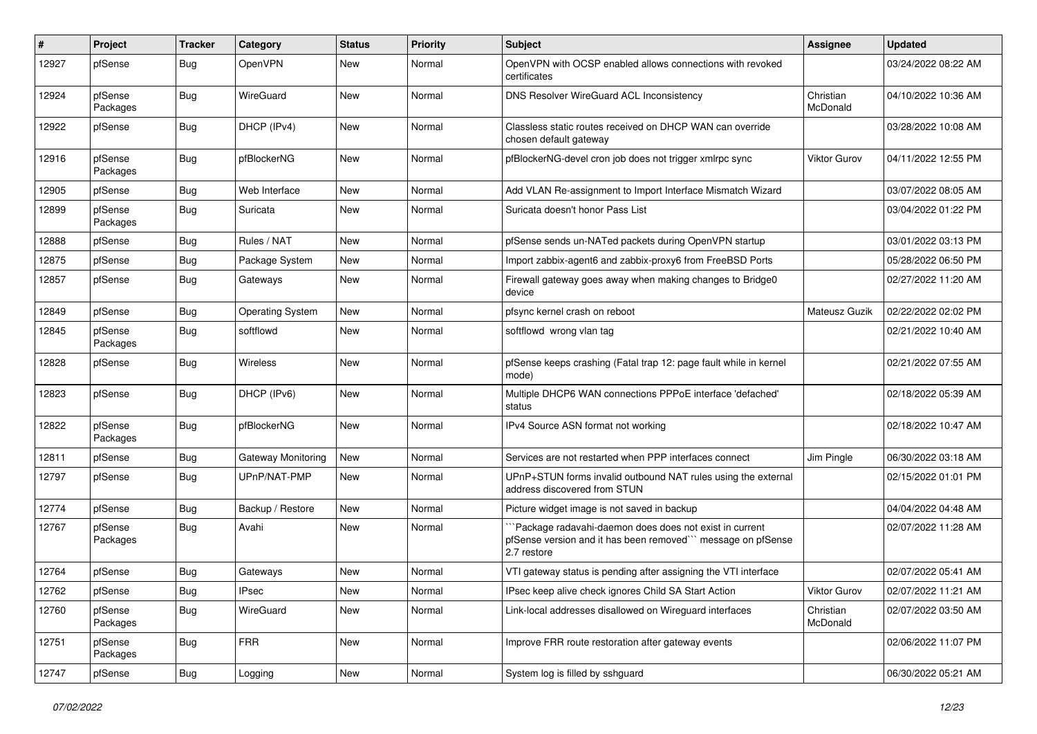| #     | Project             | <b>Tracker</b> | Category                | <b>Status</b> | <b>Priority</b> | <b>Subject</b>                                                                                                                        | <b>Assignee</b>       | <b>Updated</b>      |
|-------|---------------------|----------------|-------------------------|---------------|-----------------|---------------------------------------------------------------------------------------------------------------------------------------|-----------------------|---------------------|
| 12927 | pfSense             | <b>Bug</b>     | <b>OpenVPN</b>          | <b>New</b>    | Normal          | OpenVPN with OCSP enabled allows connections with revoked<br>certificates                                                             |                       | 03/24/2022 08:22 AM |
| 12924 | pfSense<br>Packages | Bug            | WireGuard               | <b>New</b>    | Normal          | DNS Resolver WireGuard ACL Inconsistency                                                                                              | Christian<br>McDonald | 04/10/2022 10:36 AM |
| 12922 | pfSense             | <b>Bug</b>     | DHCP (IPv4)             | <b>New</b>    | Normal          | Classless static routes received on DHCP WAN can override<br>chosen default gateway                                                   |                       | 03/28/2022 10:08 AM |
| 12916 | pfSense<br>Packages | Bug            | pfBlockerNG             | <b>New</b>    | Normal          | pfBlockerNG-devel cron job does not trigger xmlrpc sync                                                                               | <b>Viktor Gurov</b>   | 04/11/2022 12:55 PM |
| 12905 | pfSense             | Bug            | Web Interface           | <b>New</b>    | Normal          | Add VLAN Re-assignment to Import Interface Mismatch Wizard                                                                            |                       | 03/07/2022 08:05 AM |
| 12899 | pfSense<br>Packages | <b>Bug</b>     | Suricata                | New           | Normal          | Suricata doesn't honor Pass List                                                                                                      |                       | 03/04/2022 01:22 PM |
| 12888 | pfSense             | <b>Bug</b>     | Rules / NAT             | <b>New</b>    | Normal          | pfSense sends un-NATed packets during OpenVPN startup                                                                                 |                       | 03/01/2022 03:13 PM |
| 12875 | pfSense             | <b>Bug</b>     | Package System          | <b>New</b>    | Normal          | Import zabbix-agent6 and zabbix-proxy6 from FreeBSD Ports                                                                             |                       | 05/28/2022 06:50 PM |
| 12857 | pfSense             | <b>Bug</b>     | Gateways                | New           | Normal          | Firewall gateway goes away when making changes to Bridge0<br>device                                                                   |                       | 02/27/2022 11:20 AM |
| 12849 | pfSense             | <b>Bug</b>     | <b>Operating System</b> | <b>New</b>    | Normal          | pfsync kernel crash on reboot                                                                                                         | Mateusz Guzik         | 02/22/2022 02:02 PM |
| 12845 | pfSense<br>Packages | <b>Bug</b>     | softflowd               | New           | Normal          | softflowd wrong vlan tag                                                                                                              |                       | 02/21/2022 10:40 AM |
| 12828 | pfSense             | <b>Bug</b>     | Wireless                | <b>New</b>    | Normal          | pfSense keeps crashing (Fatal trap 12: page fault while in kernel<br>mode)                                                            |                       | 02/21/2022 07:55 AM |
| 12823 | pfSense             | <b>Bug</b>     | DHCP (IPv6)             | <b>New</b>    | Normal          | Multiple DHCP6 WAN connections PPPoE interface 'defached'<br>status                                                                   |                       | 02/18/2022 05:39 AM |
| 12822 | pfSense<br>Packages | <b>Bug</b>     | pfBlockerNG             | <b>New</b>    | Normal          | IPv4 Source ASN format not working                                                                                                    |                       | 02/18/2022 10:47 AM |
| 12811 | pfSense             | Bug            | Gateway Monitoring      | <b>New</b>    | Normal          | Services are not restarted when PPP interfaces connect                                                                                | Jim Pingle            | 06/30/2022 03:18 AM |
| 12797 | pfSense             | <b>Bug</b>     | UPnP/NAT-PMP            | New           | Normal          | UPnP+STUN forms invalid outbound NAT rules using the external<br>address discovered from STUN                                         |                       | 02/15/2022 01:01 PM |
| 12774 | pfSense             | <b>Bug</b>     | Backup / Restore        | <b>New</b>    | Normal          | Picture widget image is not saved in backup                                                                                           |                       | 04/04/2022 04:48 AM |
| 12767 | pfSense<br>Packages | <b>Bug</b>     | Avahi                   | New           | Normal          | 'Package radavahi-daemon does does not exist in current<br>pfSense version and it has been removed" message on pfSense<br>2.7 restore |                       | 02/07/2022 11:28 AM |
| 12764 | pfSense             | <b>Bug</b>     | Gateways                | <b>New</b>    | Normal          | VTI gateway status is pending after assigning the VTI interface                                                                       |                       | 02/07/2022 05:41 AM |
| 12762 | pfSense             | <b>Bug</b>     | <b>IPsec</b>            | New           | Normal          | IPsec keep alive check ignores Child SA Start Action                                                                                  | <b>Viktor Gurov</b>   | 02/07/2022 11:21 AM |
| 12760 | pfSense<br>Packages | <b>Bug</b>     | WireGuard               | New           | Normal          | Link-local addresses disallowed on Wireguard interfaces                                                                               | Christian<br>McDonald | 02/07/2022 03:50 AM |
| 12751 | pfSense<br>Packages | <b>Bug</b>     | <b>FRR</b>              | New           | Normal          | Improve FRR route restoration after gateway events                                                                                    |                       | 02/06/2022 11:07 PM |
| 12747 | pfSense             | Bug            | Logging                 | New           | Normal          | System log is filled by sshguard                                                                                                      |                       | 06/30/2022 05:21 AM |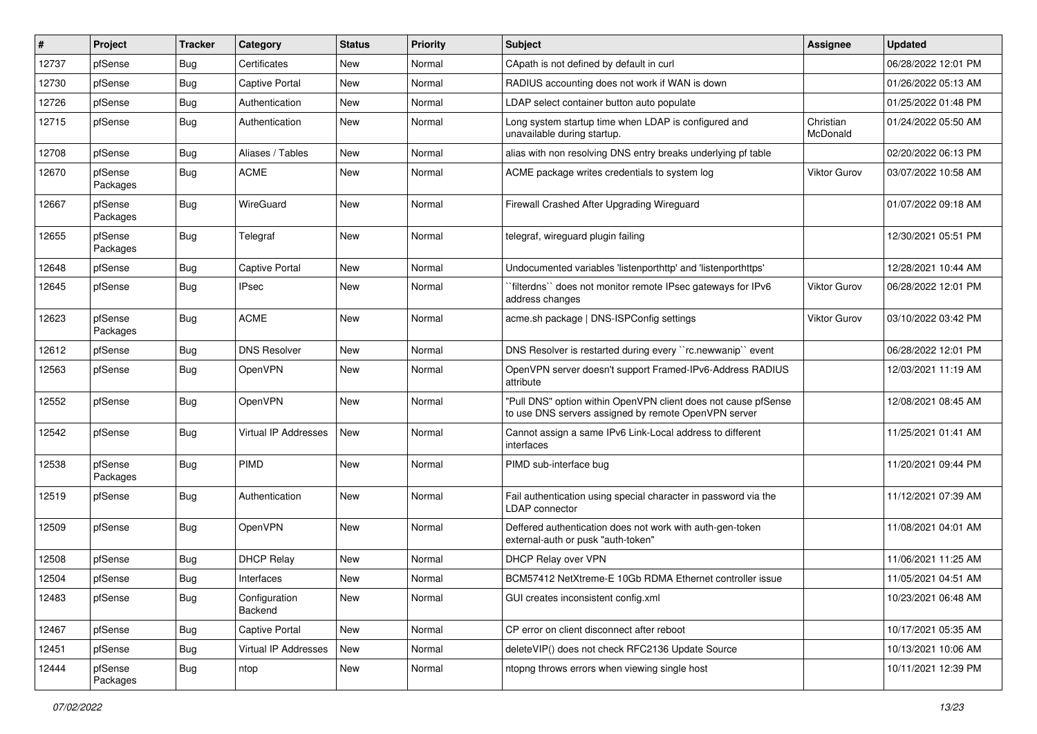| ∦     | Project             | <b>Tracker</b> | Category                 | <b>Status</b> | <b>Priority</b> | <b>Subject</b>                                                                                                         | <b>Assignee</b>       | <b>Updated</b>      |
|-------|---------------------|----------------|--------------------------|---------------|-----------------|------------------------------------------------------------------------------------------------------------------------|-----------------------|---------------------|
| 12737 | pfSense             | <b>Bug</b>     | Certificates             | New           | Normal          | CApath is not defined by default in curl                                                                               |                       | 06/28/2022 12:01 PM |
| 12730 | pfSense             | <b>Bug</b>     | <b>Captive Portal</b>    | New           | Normal          | RADIUS accounting does not work if WAN is down                                                                         |                       | 01/26/2022 05:13 AM |
| 12726 | pfSense             | <b>Bug</b>     | Authentication           | New           | Normal          | LDAP select container button auto populate                                                                             |                       | 01/25/2022 01:48 PM |
| 12715 | pfSense             | <b>Bug</b>     | Authentication           | New           | Normal          | Long system startup time when LDAP is configured and<br>unavailable during startup.                                    | Christian<br>McDonald | 01/24/2022 05:50 AM |
| 12708 | pfSense             | <b>Bug</b>     | Aliases / Tables         | New           | Normal          | alias with non resolving DNS entry breaks underlying pf table                                                          |                       | 02/20/2022 06:13 PM |
| 12670 | pfSense<br>Packages | <b>Bug</b>     | <b>ACME</b>              | New           | Normal          | ACME package writes credentials to system log                                                                          | <b>Viktor Gurov</b>   | 03/07/2022 10:58 AM |
| 12667 | pfSense<br>Packages | <b>Bug</b>     | WireGuard                | <b>New</b>    | Normal          | Firewall Crashed After Upgrading Wireguard                                                                             |                       | 01/07/2022 09:18 AM |
| 12655 | pfSense<br>Packages | <b>Bug</b>     | Telegraf                 | <b>New</b>    | Normal          | telegraf, wireguard plugin failing                                                                                     |                       | 12/30/2021 05:51 PM |
| 12648 | pfSense             | <b>Bug</b>     | <b>Captive Portal</b>    | <b>New</b>    | Normal          | Undocumented variables 'listenporthttp' and 'listenporthttps'                                                          |                       | 12/28/2021 10:44 AM |
| 12645 | pfSense             | <b>Bug</b>     | <b>IPsec</b>             | New           | Normal          | `filterdns`` does not monitor remote IPsec gateways for IPv6<br>address changes                                        | Viktor Gurov          | 06/28/2022 12:01 PM |
| 12623 | pfSense<br>Packages | <b>Bug</b>     | <b>ACME</b>              | <b>New</b>    | Normal          | acme.sh package   DNS-ISPConfig settings                                                                               | Viktor Gurov          | 03/10/2022 03:42 PM |
| 12612 | pfSense             | <b>Bug</b>     | <b>DNS Resolver</b>      | <b>New</b>    | Normal          | DNS Resolver is restarted during every "rc.newwanip" event                                                             |                       | 06/28/2022 12:01 PM |
| 12563 | pfSense             | <b>Bug</b>     | OpenVPN                  | <b>New</b>    | Normal          | OpenVPN server doesn't support Framed-IPv6-Address RADIUS<br>attribute                                                 |                       | 12/03/2021 11:19 AM |
| 12552 | pfSense             | <b>Bug</b>     | OpenVPN                  | <b>New</b>    | Normal          | "Pull DNS" option within OpenVPN client does not cause pfSense<br>to use DNS servers assigned by remote OpenVPN server |                       | 12/08/2021 08:45 AM |
| 12542 | pfSense             | <b>Bug</b>     | Virtual IP Addresses     | <b>New</b>    | Normal          | Cannot assign a same IPv6 Link-Local address to different<br>interfaces                                                |                       | 11/25/2021 01:41 AM |
| 12538 | pfSense<br>Packages | <b>Bug</b>     | PIMD                     | <b>New</b>    | Normal          | PIMD sub-interface bug                                                                                                 |                       | 11/20/2021 09:44 PM |
| 12519 | pfSense             | <b>Bug</b>     | Authentication           | <b>New</b>    | Normal          | Fail authentication using special character in password via the<br><b>LDAP</b> connector                               |                       | 11/12/2021 07:39 AM |
| 12509 | pfSense             | <b>Bug</b>     | OpenVPN                  | <b>New</b>    | Normal          | Deffered authentication does not work with auth-gen-token<br>external-auth or pusk "auth-token"                        |                       | 11/08/2021 04:01 AM |
| 12508 | pfSense             | <b>Bug</b>     | <b>DHCP Relay</b>        | New           | Normal          | DHCP Relay over VPN                                                                                                    |                       | 11/06/2021 11:25 AM |
| 12504 | pfSense             | <b>Bug</b>     | Interfaces               | New           | Normal          | BCM57412 NetXtreme-E 10Gb RDMA Ethernet controller issue                                                               |                       | 11/05/2021 04:51 AM |
| 12483 | pfSense             | <b>Bug</b>     | Configuration<br>Backend | New           | Normal          | GUI creates inconsistent config.xml                                                                                    |                       | 10/23/2021 06:48 AM |
| 12467 | pfSense             | Bug            | Captive Portal           | New           | Normal          | CP error on client disconnect after reboot                                                                             |                       | 10/17/2021 05:35 AM |
| 12451 | pfSense             | <b>Bug</b>     | Virtual IP Addresses     | New           | Normal          | deleteVIP() does not check RFC2136 Update Source                                                                       |                       | 10/13/2021 10:06 AM |
| 12444 | pfSense<br>Packages | <b>Bug</b>     | ntop                     | New           | Normal          | ntopng throws errors when viewing single host                                                                          |                       | 10/11/2021 12:39 PM |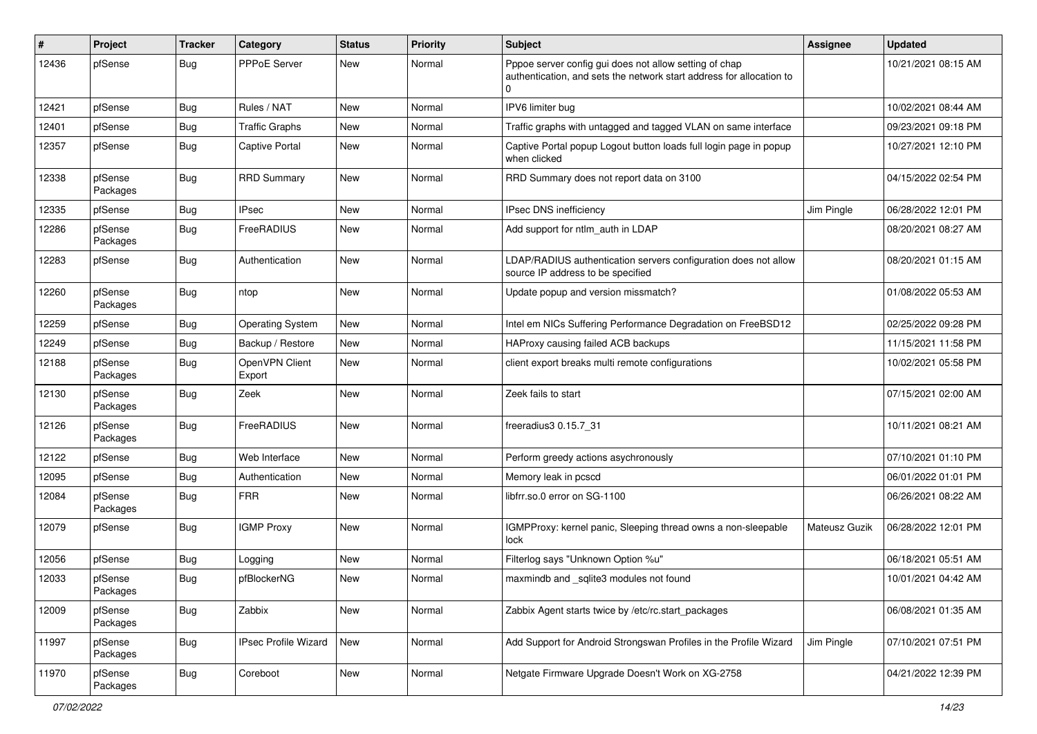| ∦     | Project             | <b>Tracker</b> | Category                    | <b>Status</b> | Priority | <b>Subject</b>                                                                                                                 | <b>Assignee</b> | <b>Updated</b>      |
|-------|---------------------|----------------|-----------------------------|---------------|----------|--------------------------------------------------------------------------------------------------------------------------------|-----------------|---------------------|
| 12436 | pfSense             | Bug            | PPPoE Server                | New           | Normal   | Pppoe server config gui does not allow setting of chap<br>authentication, and sets the network start address for allocation to |                 | 10/21/2021 08:15 AM |
| 12421 | pfSense             | <b>Bug</b>     | Rules / NAT                 | New           | Normal   | IPV6 limiter bug                                                                                                               |                 | 10/02/2021 08:44 AM |
| 12401 | pfSense             | <b>Bug</b>     | <b>Traffic Graphs</b>       | New           | Normal   | Traffic graphs with untagged and tagged VLAN on same interface                                                                 |                 | 09/23/2021 09:18 PM |
| 12357 | pfSense             | <b>Bug</b>     | Captive Portal              | New           | Normal   | Captive Portal popup Logout button loads full login page in popup<br>when clicked                                              |                 | 10/27/2021 12:10 PM |
| 12338 | pfSense<br>Packages | Bug            | <b>RRD Summary</b>          | New           | Normal   | RRD Summary does not report data on 3100                                                                                       |                 | 04/15/2022 02:54 PM |
| 12335 | pfSense             | <b>Bug</b>     | <b>IPsec</b>                | <b>New</b>    | Normal   | IPsec DNS inefficiency                                                                                                         | Jim Pingle      | 06/28/2022 12:01 PM |
| 12286 | pfSense<br>Packages | <b>Bug</b>     | FreeRADIUS                  | New           | Normal   | Add support for ntlm auth in LDAP                                                                                              |                 | 08/20/2021 08:27 AM |
| 12283 | pfSense             | <b>Bug</b>     | Authentication              | New           | Normal   | LDAP/RADIUS authentication servers configuration does not allow<br>source IP address to be specified                           |                 | 08/20/2021 01:15 AM |
| 12260 | pfSense<br>Packages | Bug            | ntop                        | <b>New</b>    | Normal   | Update popup and version missmatch?                                                                                            |                 | 01/08/2022 05:53 AM |
| 12259 | pfSense             | <b>Bug</b>     | <b>Operating System</b>     | New           | Normal   | Intel em NICs Suffering Performance Degradation on FreeBSD12                                                                   |                 | 02/25/2022 09:28 PM |
| 12249 | pfSense             | <b>Bug</b>     | Backup / Restore            | New           | Normal   | HAProxy causing failed ACB backups                                                                                             |                 | 11/15/2021 11:58 PM |
| 12188 | pfSense<br>Packages | <b>Bug</b>     | OpenVPN Client<br>Export    | New           | Normal   | client export breaks multi remote configurations                                                                               |                 | 10/02/2021 05:58 PM |
| 12130 | pfSense<br>Packages | <b>Bug</b>     | Zeek                        | New           | Normal   | Zeek fails to start                                                                                                            |                 | 07/15/2021 02:00 AM |
| 12126 | pfSense<br>Packages | Bug            | FreeRADIUS                  | <b>New</b>    | Normal   | freeradius3 0.15.7 31                                                                                                          |                 | 10/11/2021 08:21 AM |
| 12122 | pfSense             | <b>Bug</b>     | Web Interface               | New           | Normal   | Perform greedy actions asychronously                                                                                           |                 | 07/10/2021 01:10 PM |
| 12095 | pfSense             | <b>Bug</b>     | Authentication              | New           | Normal   | Memory leak in pcscd                                                                                                           |                 | 06/01/2022 01:01 PM |
| 12084 | pfSense<br>Packages | <b>Bug</b>     | <b>FRR</b>                  | New           | Normal   | libfrr.so.0 error on SG-1100                                                                                                   |                 | 06/26/2021 08:22 AM |
| 12079 | pfSense             | <b>Bug</b>     | <b>IGMP Proxy</b>           | New           | Normal   | IGMPProxy: kernel panic, Sleeping thread owns a non-sleepable<br>lock                                                          | Mateusz Guzik   | 06/28/2022 12:01 PM |
| 12056 | pfSense             | <b>Bug</b>     | Logging                     | New           | Normal   | Filterlog says "Unknown Option %u"                                                                                             |                 | 06/18/2021 05:51 AM |
| 12033 | pfSense<br>Packages | <b>Bug</b>     | pfBlockerNG                 | New           | Normal   | maxmindb and _sqlite3 modules not found                                                                                        |                 | 10/01/2021 04:42 AM |
| 12009 | pfSense<br>Packages | <b>Bug</b>     | Zabbix                      | New           | Normal   | Zabbix Agent starts twice by /etc/rc.start_packages                                                                            |                 | 06/08/2021 01:35 AM |
| 11997 | pfSense<br>Packages | <b>Bug</b>     | <b>IPsec Profile Wizard</b> | New           | Normal   | Add Support for Android Strongswan Profiles in the Profile Wizard                                                              | Jim Pingle      | 07/10/2021 07:51 PM |
| 11970 | pfSense<br>Packages | Bug            | Coreboot                    | New           | Normal   | Netgate Firmware Upgrade Doesn't Work on XG-2758                                                                               |                 | 04/21/2022 12:39 PM |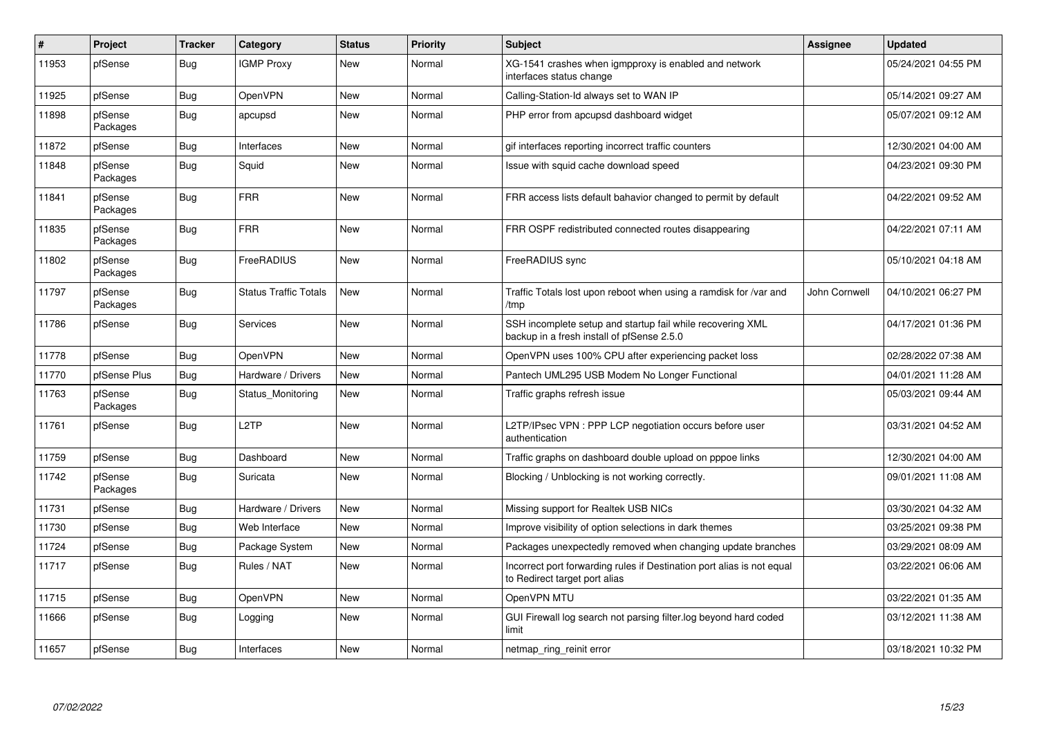| #     | Project             | <b>Tracker</b> | Category                     | <b>Status</b> | <b>Priority</b> | Subject                                                                                                  | <b>Assignee</b> | <b>Updated</b>      |
|-------|---------------------|----------------|------------------------------|---------------|-----------------|----------------------------------------------------------------------------------------------------------|-----------------|---------------------|
| 11953 | pfSense             | Bug            | <b>IGMP Proxy</b>            | New           | Normal          | XG-1541 crashes when igmpproxy is enabled and network<br>interfaces status change                        |                 | 05/24/2021 04:55 PM |
| 11925 | pfSense             | Bug            | OpenVPN                      | New           | Normal          | Calling-Station-Id always set to WAN IP                                                                  |                 | 05/14/2021 09:27 AM |
| 11898 | pfSense<br>Packages | <b>Bug</b>     | apcupsd                      | <b>New</b>    | Normal          | PHP error from apcupsd dashboard widget                                                                  |                 | 05/07/2021 09:12 AM |
| 11872 | pfSense             | <b>Bug</b>     | Interfaces                   | <b>New</b>    | Normal          | gif interfaces reporting incorrect traffic counters                                                      |                 | 12/30/2021 04:00 AM |
| 11848 | pfSense<br>Packages | Bug            | Squid                        | <b>New</b>    | Normal          | Issue with squid cache download speed                                                                    |                 | 04/23/2021 09:30 PM |
| 11841 | pfSense<br>Packages | Bug            | <b>FRR</b>                   | <b>New</b>    | Normal          | FRR access lists default bahavior changed to permit by default                                           |                 | 04/22/2021 09:52 AM |
| 11835 | pfSense<br>Packages | <b>Bug</b>     | <b>FRR</b>                   | <b>New</b>    | Normal          | FRR OSPF redistributed connected routes disappearing                                                     |                 | 04/22/2021 07:11 AM |
| 11802 | pfSense<br>Packages | <b>Bug</b>     | FreeRADIUS                   | <b>New</b>    | Normal          | FreeRADIUS sync                                                                                          |                 | 05/10/2021 04:18 AM |
| 11797 | pfSense<br>Packages | <b>Bug</b>     | <b>Status Traffic Totals</b> | <b>New</b>    | Normal          | Traffic Totals lost upon reboot when using a ramdisk for /var and<br>/tmp                                | John Cornwell   | 04/10/2021 06:27 PM |
| 11786 | pfSense             | <b>Bug</b>     | Services                     | <b>New</b>    | Normal          | SSH incomplete setup and startup fail while recovering XML<br>backup in a fresh install of pfSense 2.5.0 |                 | 04/17/2021 01:36 PM |
| 11778 | pfSense             | Bug            | <b>OpenVPN</b>               | New           | Normal          | OpenVPN uses 100% CPU after experiencing packet loss                                                     |                 | 02/28/2022 07:38 AM |
| 11770 | pfSense Plus        | <b>Bug</b>     | Hardware / Drivers           | <b>New</b>    | Normal          | Pantech UML295 USB Modem No Longer Functional                                                            |                 | 04/01/2021 11:28 AM |
| 11763 | pfSense<br>Packages | Bug            | Status Monitoring            | New           | Normal          | Traffic graphs refresh issue                                                                             |                 | 05/03/2021 09:44 AM |
| 11761 | pfSense             | Bug            | L <sub>2</sub> TP            | <b>New</b>    | Normal          | L2TP/IPsec VPN : PPP LCP negotiation occurs before user<br>authentication                                |                 | 03/31/2021 04:52 AM |
| 11759 | pfSense             | Bug            | Dashboard                    | New           | Normal          | Traffic graphs on dashboard double upload on pppoe links                                                 |                 | 12/30/2021 04:00 AM |
| 11742 | pfSense<br>Packages | Bug            | Suricata                     | New           | Normal          | Blocking / Unblocking is not working correctly.                                                          |                 | 09/01/2021 11:08 AM |
| 11731 | pfSense             | Bug            | Hardware / Drivers           | <b>New</b>    | Normal          | Missing support for Realtek USB NICs                                                                     |                 | 03/30/2021 04:32 AM |
| 11730 | pfSense             | <b>Bug</b>     | Web Interface                | <b>New</b>    | Normal          | Improve visibility of option selections in dark themes                                                   |                 | 03/25/2021 09:38 PM |
| 11724 | pfSense             | Bug            | Package System               | <b>New</b>    | Normal          | Packages unexpectedly removed when changing update branches                                              |                 | 03/29/2021 08:09 AM |
| 11717 | pfSense             | <b>Bug</b>     | Rules / NAT                  | New           | Normal          | Incorrect port forwarding rules if Destination port alias is not equal<br>to Redirect target port alias  |                 | 03/22/2021 06:06 AM |
| 11715 | pfSense             | <b>Bug</b>     | OpenVPN                      | New           | Normal          | OpenVPN MTU                                                                                              |                 | 03/22/2021 01:35 AM |
| 11666 | pfSense             | Bug            | Logging                      | New           | Normal          | GUI Firewall log search not parsing filter log beyond hard coded<br>limit                                |                 | 03/12/2021 11:38 AM |
| 11657 | pfSense             | Bug            | Interfaces                   | New           | Normal          | netmap_ring_reinit error                                                                                 |                 | 03/18/2021 10:32 PM |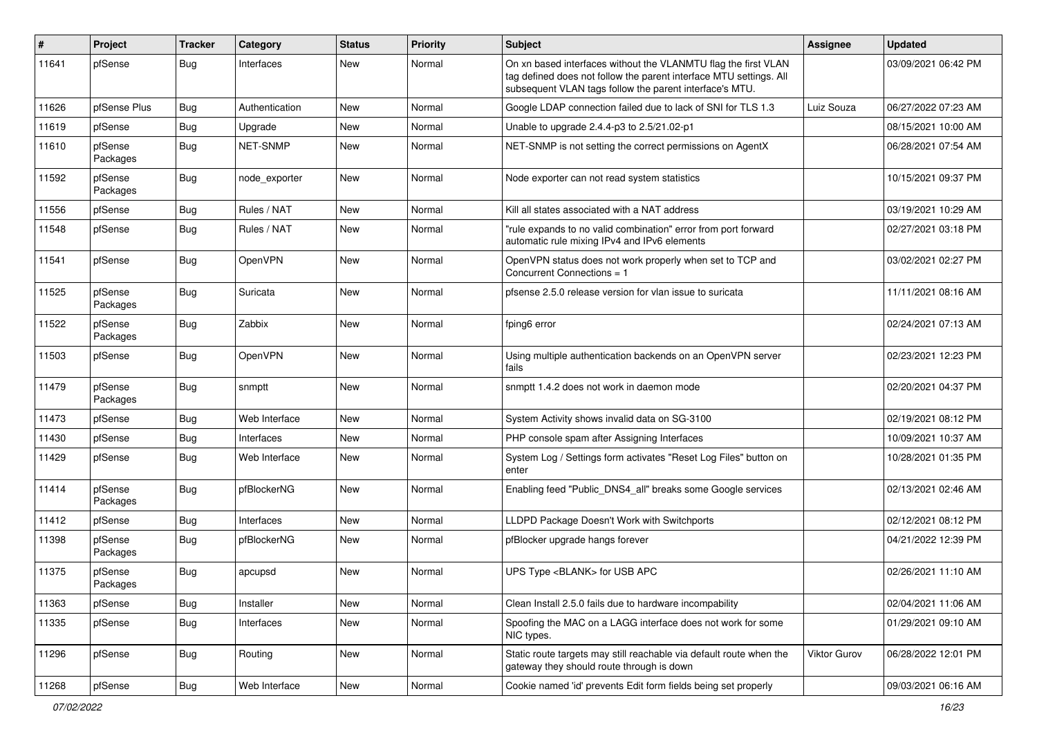| #     | Project             | <b>Tracker</b> | Category       | <b>Status</b> | Priority | <b>Subject</b>                                                                                                                                                                                  | <b>Assignee</b> | <b>Updated</b>      |
|-------|---------------------|----------------|----------------|---------------|----------|-------------------------------------------------------------------------------------------------------------------------------------------------------------------------------------------------|-----------------|---------------------|
| 11641 | pfSense             | <b>Bug</b>     | Interfaces     | <b>New</b>    | Normal   | On xn based interfaces without the VLANMTU flag the first VLAN<br>tag defined does not follow the parent interface MTU settings. All<br>subsequent VLAN tags follow the parent interface's MTU. |                 | 03/09/2021 06:42 PM |
| 11626 | pfSense Plus        | <b>Bug</b>     | Authentication | <b>New</b>    | Normal   | Google LDAP connection failed due to lack of SNI for TLS 1.3                                                                                                                                    | Luiz Souza      | 06/27/2022 07:23 AM |
| 11619 | pfSense             | <b>Bug</b>     | Upgrade        | <b>New</b>    | Normal   | Unable to upgrade 2.4.4-p3 to 2.5/21.02-p1                                                                                                                                                      |                 | 08/15/2021 10:00 AM |
| 11610 | pfSense<br>Packages | <b>Bug</b>     | NET-SNMP       | New           | Normal   | NET-SNMP is not setting the correct permissions on AgentX                                                                                                                                       |                 | 06/28/2021 07:54 AM |
| 11592 | pfSense<br>Packages | <b>Bug</b>     | node exporter  | <b>New</b>    | Normal   | Node exporter can not read system statistics                                                                                                                                                    |                 | 10/15/2021 09:37 PM |
| 11556 | pfSense             | <b>Bug</b>     | Rules / NAT    | <b>New</b>    | Normal   | Kill all states associated with a NAT address                                                                                                                                                   |                 | 03/19/2021 10:29 AM |
| 11548 | pfSense             | <b>Bug</b>     | Rules / NAT    | New           | Normal   | "rule expands to no valid combination" error from port forward<br>automatic rule mixing IPv4 and IPv6 elements                                                                                  |                 | 02/27/2021 03:18 PM |
| 11541 | pfSense             | <b>Bug</b>     | <b>OpenVPN</b> | <b>New</b>    | Normal   | OpenVPN status does not work properly when set to TCP and<br>Concurrent Connections = 1                                                                                                         |                 | 03/02/2021 02:27 PM |
| 11525 | pfSense<br>Packages | <b>Bug</b>     | Suricata       | <b>New</b>    | Normal   | pfsense 2.5.0 release version for vlan issue to suricata                                                                                                                                        |                 | 11/11/2021 08:16 AM |
| 11522 | pfSense<br>Packages | <b>Bug</b>     | Zabbix         | <b>New</b>    | Normal   | fping6 error                                                                                                                                                                                    |                 | 02/24/2021 07:13 AM |
| 11503 | pfSense             | <b>Bug</b>     | <b>OpenVPN</b> | <b>New</b>    | Normal   | Using multiple authentication backends on an OpenVPN server<br>fails                                                                                                                            |                 | 02/23/2021 12:23 PM |
| 11479 | pfSense<br>Packages | <b>Bug</b>     | snmptt         | <b>New</b>    | Normal   | snmptt 1.4.2 does not work in daemon mode                                                                                                                                                       |                 | 02/20/2021 04:37 PM |
| 11473 | pfSense             | <b>Bug</b>     | Web Interface  | <b>New</b>    | Normal   | System Activity shows invalid data on SG-3100                                                                                                                                                   |                 | 02/19/2021 08:12 PM |
| 11430 | pfSense             | <b>Bug</b>     | Interfaces     | <b>New</b>    | Normal   | PHP console spam after Assigning Interfaces                                                                                                                                                     |                 | 10/09/2021 10:37 AM |
| 11429 | pfSense             | <b>Bug</b>     | Web Interface  | New           | Normal   | System Log / Settings form activates "Reset Log Files" button on<br>enter                                                                                                                       |                 | 10/28/2021 01:35 PM |
| 11414 | pfSense<br>Packages | <b>Bug</b>     | pfBlockerNG    | <b>New</b>    | Normal   | Enabling feed "Public_DNS4_all" breaks some Google services                                                                                                                                     |                 | 02/13/2021 02:46 AM |
| 11412 | pfSense             | <b>Bug</b>     | Interfaces     | <b>New</b>    | Normal   | LLDPD Package Doesn't Work with Switchports                                                                                                                                                     |                 | 02/12/2021 08:12 PM |
| 11398 | pfSense<br>Packages | <b>Bug</b>     | pfBlockerNG    | New           | Normal   | pfBlocker upgrade hangs forever                                                                                                                                                                 |                 | 04/21/2022 12:39 PM |
| 11375 | pfSense<br>Packages | <b>Bug</b>     | apcupsd        | <b>New</b>    | Normal   | UPS Type <blank> for USB APC</blank>                                                                                                                                                            |                 | 02/26/2021 11:10 AM |
| 11363 | pfSense             | Bug            | Installer      | New           | Normal   | Clean Install 2.5.0 fails due to hardware incompability                                                                                                                                         |                 | 02/04/2021 11:06 AM |
| 11335 | pfSense             | <b>Bug</b>     | Interfaces     | New           | Normal   | Spoofing the MAC on a LAGG interface does not work for some<br>NIC types.                                                                                                                       |                 | 01/29/2021 09:10 AM |
| 11296 | pfSense             | <b>Bug</b>     | Routing        | New           | Normal   | Static route targets may still reachable via default route when the<br>gateway they should route through is down                                                                                | Viktor Gurov    | 06/28/2022 12:01 PM |
| 11268 | pfSense             | Bug            | Web Interface  | New           | Normal   | Cookie named 'id' prevents Edit form fields being set properly                                                                                                                                  |                 | 09/03/2021 06:16 AM |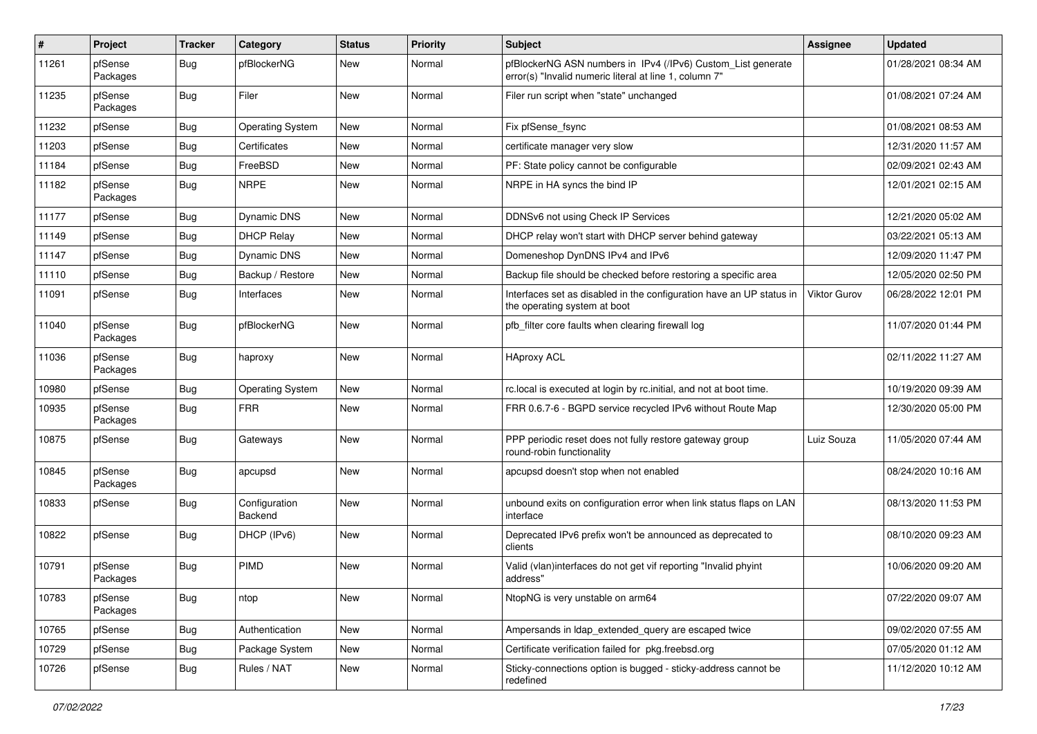| $\sharp$ | Project             | <b>Tracker</b> | Category                 | <b>Status</b> | <b>Priority</b> | <b>Subject</b>                                                                                                         | <b>Assignee</b>     | <b>Updated</b>      |
|----------|---------------------|----------------|--------------------------|---------------|-----------------|------------------------------------------------------------------------------------------------------------------------|---------------------|---------------------|
| 11261    | pfSense<br>Packages | <b>Bug</b>     | pfBlockerNG              | New           | Normal          | pfBlockerNG ASN numbers in IPv4 (/IPv6) Custom_List generate<br>error(s) "Invalid numeric literal at line 1, column 7" |                     | 01/28/2021 08:34 AM |
| 11235    | pfSense<br>Packages | <b>Bug</b>     | Filer                    | <b>New</b>    | Normal          | Filer run script when "state" unchanged                                                                                |                     | 01/08/2021 07:24 AM |
| 11232    | pfSense             | <b>Bug</b>     | <b>Operating System</b>  | New           | Normal          | Fix pfSense_fsync                                                                                                      |                     | 01/08/2021 08:53 AM |
| 11203    | pfSense             | <b>Bug</b>     | Certificates             | New           | Normal          | certificate manager very slow                                                                                          |                     | 12/31/2020 11:57 AM |
| 11184    | pfSense             | <b>Bug</b>     | FreeBSD                  | <b>New</b>    | Normal          | PF: State policy cannot be configurable                                                                                |                     | 02/09/2021 02:43 AM |
| 11182    | pfSense<br>Packages | <b>Bug</b>     | <b>NRPE</b>              | New           | Normal          | NRPE in HA syncs the bind IP                                                                                           |                     | 12/01/2021 02:15 AM |
| 11177    | pfSense             | <b>Bug</b>     | <b>Dynamic DNS</b>       | <b>New</b>    | Normal          | DDNSv6 not using Check IP Services                                                                                     |                     | 12/21/2020 05:02 AM |
| 11149    | pfSense             | Bug            | <b>DHCP Relay</b>        | New           | Normal          | DHCP relay won't start with DHCP server behind gateway                                                                 |                     | 03/22/2021 05:13 AM |
| 11147    | pfSense             | <b>Bug</b>     | Dynamic DNS              | New           | Normal          | Domeneshop DynDNS IPv4 and IPv6                                                                                        |                     | 12/09/2020 11:47 PM |
| 11110    | pfSense             | <b>Bug</b>     | Backup / Restore         | <b>New</b>    | Normal          | Backup file should be checked before restoring a specific area                                                         |                     | 12/05/2020 02:50 PM |
| 11091    | pfSense             | <b>Bug</b>     | Interfaces               | New           | Normal          | Interfaces set as disabled in the configuration have an UP status in<br>the operating system at boot                   | <b>Viktor Gurov</b> | 06/28/2022 12:01 PM |
| 11040    | pfSense<br>Packages | <b>Bug</b>     | pfBlockerNG              | New           | Normal          | pfb filter core faults when clearing firewall log                                                                      |                     | 11/07/2020 01:44 PM |
| 11036    | pfSense<br>Packages | <b>Bug</b>     | haproxy                  | <b>New</b>    | Normal          | <b>HAproxy ACL</b>                                                                                                     |                     | 02/11/2022 11:27 AM |
| 10980    | pfSense             | <b>Bug</b>     | <b>Operating System</b>  | <b>New</b>    | Normal          | rc.local is executed at login by rc.initial, and not at boot time.                                                     |                     | 10/19/2020 09:39 AM |
| 10935    | pfSense<br>Packages | <b>Bug</b>     | <b>FRR</b>               | <b>New</b>    | Normal          | FRR 0.6.7-6 - BGPD service recycled IPv6 without Route Map                                                             |                     | 12/30/2020 05:00 PM |
| 10875    | pfSense             | Bug            | Gateways                 | New           | Normal          | PPP periodic reset does not fully restore gateway group<br>round-robin functionality                                   | Luiz Souza          | 11/05/2020 07:44 AM |
| 10845    | pfSense<br>Packages | <b>Bug</b>     | apcupsd                  | <b>New</b>    | Normal          | apcupsd doesn't stop when not enabled                                                                                  |                     | 08/24/2020 10:16 AM |
| 10833    | pfSense             | <b>Bug</b>     | Configuration<br>Backend | <b>New</b>    | Normal          | unbound exits on configuration error when link status flaps on LAN<br>interface                                        |                     | 08/13/2020 11:53 PM |
| 10822    | pfSense             | Bug            | DHCP (IPv6)              | New           | Normal          | Deprecated IPv6 prefix won't be announced as deprecated to<br>clients                                                  |                     | 08/10/2020 09:23 AM |
| 10791    | pfSense<br>Packages | <b>Bug</b>     | PIMD                     | <b>New</b>    | Normal          | Valid (vlan)interfaces do not get vif reporting "Invalid phyint<br>address"                                            |                     | 10/06/2020 09:20 AM |
| 10783    | pfSense<br>Packages | <b>Bug</b>     | ntop                     | New           | Normal          | NtopNG is very unstable on arm64                                                                                       |                     | 07/22/2020 09:07 AM |
| 10765    | pfSense             | <b>Bug</b>     | Authentication           | New           | Normal          | Ampersands in Idap_extended_query are escaped twice                                                                    |                     | 09/02/2020 07:55 AM |
| 10729    | pfSense             | <b>Bug</b>     | Package System           | New           | Normal          | Certificate verification failed for pkg.freebsd.org                                                                    |                     | 07/05/2020 01:12 AM |
| 10726    | pfSense             | <b>Bug</b>     | Rules / NAT              | New           | Normal          | Sticky-connections option is bugged - sticky-address cannot be<br>redefined                                            |                     | 11/12/2020 10:12 AM |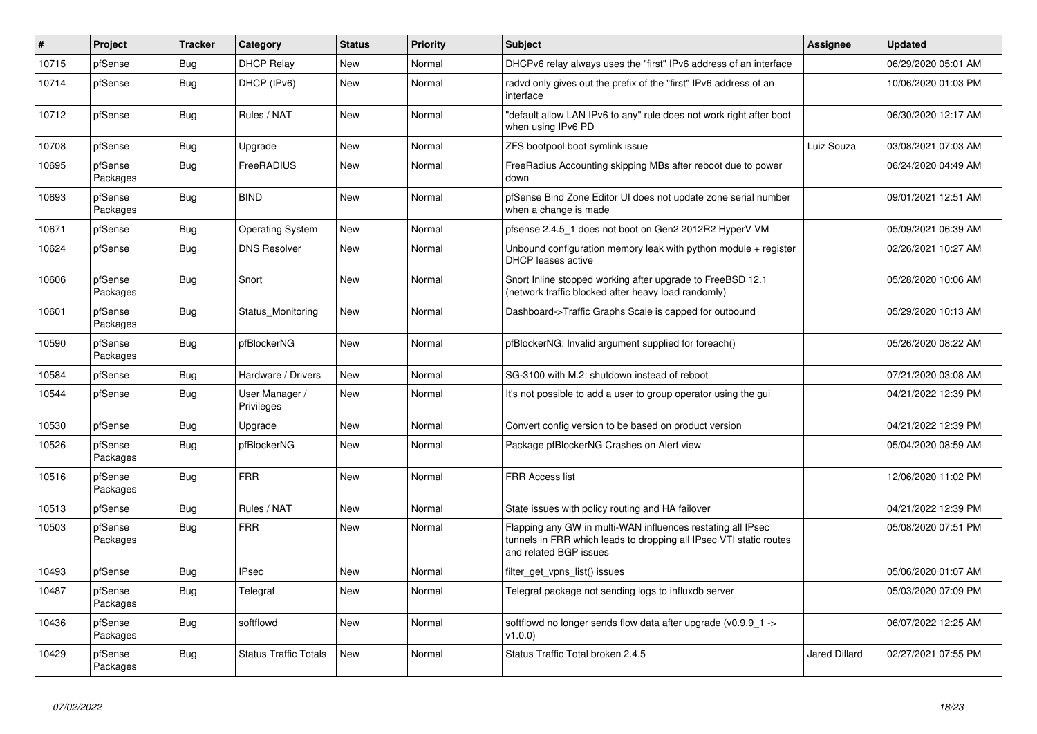| $\sharp$ | Project             | <b>Tracker</b> | Category                     | <b>Status</b> | Priority | <b>Subject</b>                                                                                                                                              | <b>Assignee</b>      | <b>Updated</b>      |
|----------|---------------------|----------------|------------------------------|---------------|----------|-------------------------------------------------------------------------------------------------------------------------------------------------------------|----------------------|---------------------|
| 10715    | pfSense             | Bug            | <b>DHCP Relay</b>            | <b>New</b>    | Normal   | DHCPv6 relay always uses the "first" IPv6 address of an interface                                                                                           |                      | 06/29/2020 05:01 AM |
| 10714    | pfSense             | <b>Bug</b>     | DHCP (IPv6)                  | <b>New</b>    | Normal   | radyd only gives out the prefix of the "first" IPv6 address of an<br>interface                                                                              |                      | 10/06/2020 01:03 PM |
| 10712    | pfSense             | <b>Bug</b>     | Rules / NAT                  | <b>New</b>    | Normal   | "default allow LAN IPv6 to any" rule does not work right after boot<br>when using IPv6 PD                                                                   |                      | 06/30/2020 12:17 AM |
| 10708    | pfSense             | <b>Bug</b>     | Upgrade                      | New           | Normal   | ZFS bootpool boot symlink issue                                                                                                                             | Luiz Souza           | 03/08/2021 07:03 AM |
| 10695    | pfSense<br>Packages | <b>Bug</b>     | FreeRADIUS                   | New           | Normal   | FreeRadius Accounting skipping MBs after reboot due to power<br>down                                                                                        |                      | 06/24/2020 04:49 AM |
| 10693    | pfSense<br>Packages | Bug            | <b>BIND</b>                  | <b>New</b>    | Normal   | pfSense Bind Zone Editor UI does not update zone serial number<br>when a change is made                                                                     |                      | 09/01/2021 12:51 AM |
| 10671    | pfSense             | <b>Bug</b>     | <b>Operating System</b>      | <b>New</b>    | Normal   | pfsense 2.4.5 1 does not boot on Gen2 2012R2 HyperV VM                                                                                                      |                      | 05/09/2021 06:39 AM |
| 10624    | pfSense             | Bug            | <b>DNS Resolver</b>          | <b>New</b>    | Normal   | Unbound configuration memory leak with python module $+$ register<br><b>DHCP</b> leases active                                                              |                      | 02/26/2021 10:27 AM |
| 10606    | pfSense<br>Packages | <b>Bug</b>     | Snort                        | <b>New</b>    | Normal   | Snort Inline stopped working after upgrade to FreeBSD 12.1<br>(network traffic blocked after heavy load randomly)                                           |                      | 05/28/2020 10:06 AM |
| 10601    | pfSense<br>Packages | <b>Bug</b>     | Status_Monitoring            | New           | Normal   | Dashboard->Traffic Graphs Scale is capped for outbound                                                                                                      |                      | 05/29/2020 10:13 AM |
| 10590    | pfSense<br>Packages | <b>Bug</b>     | pfBlockerNG                  | <b>New</b>    | Normal   | pfBlockerNG: Invalid argument supplied for foreach()                                                                                                        |                      | 05/26/2020 08:22 AM |
| 10584    | pfSense             | <b>Bug</b>     | Hardware / Drivers           | <b>New</b>    | Normal   | SG-3100 with M.2: shutdown instead of reboot                                                                                                                |                      | 07/21/2020 03:08 AM |
| 10544    | pfSense             | <b>Bug</b>     | User Manager /<br>Privileges | <b>New</b>    | Normal   | It's not possible to add a user to group operator using the gui                                                                                             |                      | 04/21/2022 12:39 PM |
| 10530    | pfSense             | <b>Bug</b>     | Upgrade                      | New           | Normal   | Convert config version to be based on product version                                                                                                       |                      | 04/21/2022 12:39 PM |
| 10526    | pfSense<br>Packages | <b>Bug</b>     | pfBlockerNG                  | New           | Normal   | Package pfBlockerNG Crashes on Alert view                                                                                                                   |                      | 05/04/2020 08:59 AM |
| 10516    | pfSense<br>Packages | <b>Bug</b>     | <b>FRR</b>                   | New           | Normal   | <b>FRR Access list</b>                                                                                                                                      |                      | 12/06/2020 11:02 PM |
| 10513    | pfSense             | Bug            | Rules / NAT                  | <b>New</b>    | Normal   | State issues with policy routing and HA failover                                                                                                            |                      | 04/21/2022 12:39 PM |
| 10503    | pfSense<br>Packages | Bug            | <b>FRR</b>                   | <b>New</b>    | Normal   | Flapping any GW in multi-WAN influences restating all IPsec<br>tunnels in FRR which leads to dropping all IPsec VTI static routes<br>and related BGP issues |                      | 05/08/2020 07:51 PM |
| 10493    | pfSense             | Bug            | <b>IPsec</b>                 | New           | Normal   | filter get vpns list() issues                                                                                                                               |                      | 05/06/2020 01:07 AM |
| 10487    | pfSense<br>Packages | <b>Bug</b>     | Telegraf                     | New           | Normal   | Telegraf package not sending logs to influxdb server                                                                                                        |                      | 05/03/2020 07:09 PM |
| 10436    | pfSense<br>Packages | <b>Bug</b>     | softflowd                    | <b>New</b>    | Normal   | softflowd no longer sends flow data after upgrade ( $v0.9.91 - v$<br>v1.0.0                                                                                 |                      | 06/07/2022 12:25 AM |
| 10429    | pfSense<br>Packages | <b>Bug</b>     | <b>Status Traffic Totals</b> | <b>New</b>    | Normal   | Status Traffic Total broken 2.4.5                                                                                                                           | <b>Jared Dillard</b> | 02/27/2021 07:55 PM |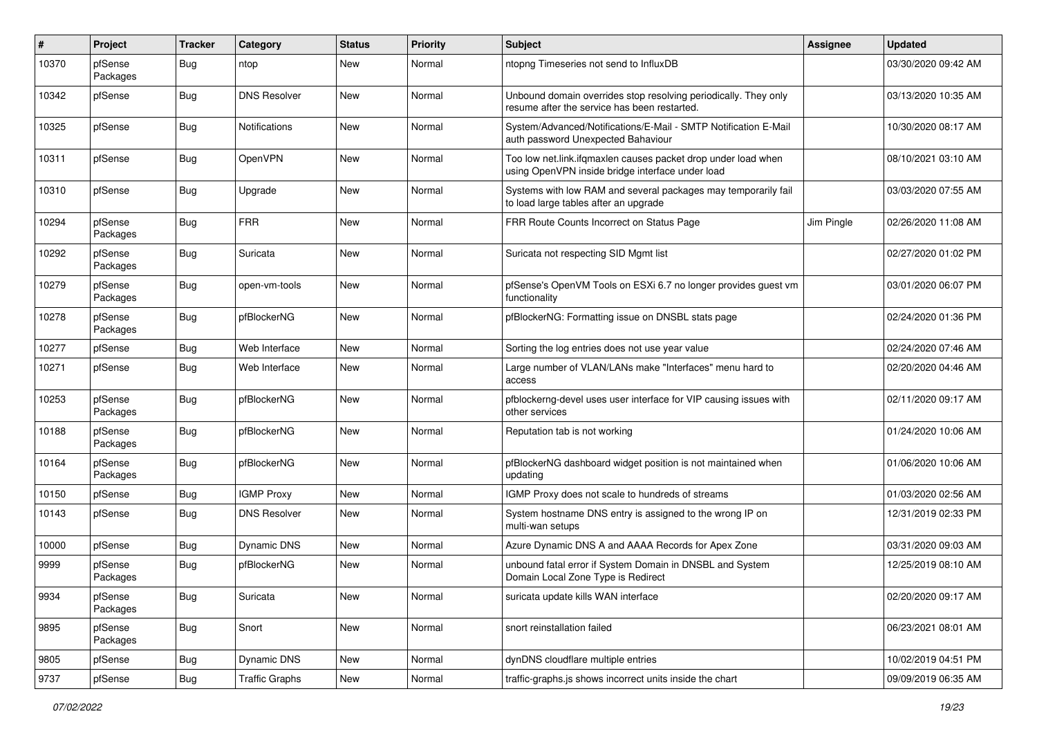| $\pmb{\#}$ | Project             | <b>Tracker</b> | Category              | <b>Status</b> | <b>Priority</b> | <b>Subject</b>                                                                                                    | <b>Assignee</b> | <b>Updated</b>      |
|------------|---------------------|----------------|-----------------------|---------------|-----------------|-------------------------------------------------------------------------------------------------------------------|-----------------|---------------------|
| 10370      | pfSense<br>Packages | Bug            | ntop                  | New           | Normal          | ntopng Timeseries not send to InfluxDB                                                                            |                 | 03/30/2020 09:42 AM |
| 10342      | pfSense             | Bug            | <b>DNS Resolver</b>   | New           | Normal          | Unbound domain overrides stop resolving periodically. They only<br>resume after the service has been restarted.   |                 | 03/13/2020 10:35 AM |
| 10325      | pfSense             | Bug            | <b>Notifications</b>  | <b>New</b>    | Normal          | System/Advanced/Notifications/E-Mail - SMTP Notification E-Mail<br>auth password Unexpected Bahaviour             |                 | 10/30/2020 08:17 AM |
| 10311      | pfSense             | Bug            | OpenVPN               | New           | Normal          | Too low net.link.ifqmaxlen causes packet drop under load when<br>using OpenVPN inside bridge interface under load |                 | 08/10/2021 03:10 AM |
| 10310      | pfSense             | Bug            | Upgrade               | New           | Normal          | Systems with low RAM and several packages may temporarily fail<br>to load large tables after an upgrade           |                 | 03/03/2020 07:55 AM |
| 10294      | pfSense<br>Packages | Bug            | <b>FRR</b>            | New           | Normal          | FRR Route Counts Incorrect on Status Page                                                                         | Jim Pingle      | 02/26/2020 11:08 AM |
| 10292      | pfSense<br>Packages | Bug            | Suricata              | <b>New</b>    | Normal          | Suricata not respecting SID Mgmt list                                                                             |                 | 02/27/2020 01:02 PM |
| 10279      | pfSense<br>Packages | Bug            | open-vm-tools         | New           | Normal          | pfSense's OpenVM Tools on ESXi 6.7 no longer provides guest vm<br>functionality                                   |                 | 03/01/2020 06:07 PM |
| 10278      | pfSense<br>Packages | Bug            | pfBlockerNG           | <b>New</b>    | Normal          | pfBlockerNG: Formatting issue on DNSBL stats page                                                                 |                 | 02/24/2020 01:36 PM |
| 10277      | pfSense             | <b>Bug</b>     | Web Interface         | <b>New</b>    | Normal          | Sorting the log entries does not use year value                                                                   |                 | 02/24/2020 07:46 AM |
| 10271      | pfSense             | Bug            | Web Interface         | New           | Normal          | Large number of VLAN/LANs make "Interfaces" menu hard to<br>access                                                |                 | 02/20/2020 04:46 AM |
| 10253      | pfSense<br>Packages | <b>Bug</b>     | pfBlockerNG           | New           | Normal          | pfblockerng-devel uses user interface for VIP causing issues with<br>other services                               |                 | 02/11/2020 09:17 AM |
| 10188      | pfSense<br>Packages | <b>Bug</b>     | pfBlockerNG           | <b>New</b>    | Normal          | Reputation tab is not working                                                                                     |                 | 01/24/2020 10:06 AM |
| 10164      | pfSense<br>Packages | <b>Bug</b>     | pfBlockerNG           | New           | Normal          | pfBlockerNG dashboard widget position is not maintained when<br>updating                                          |                 | 01/06/2020 10:06 AM |
| 10150      | pfSense             | <b>Bug</b>     | <b>IGMP Proxy</b>     | <b>New</b>    | Normal          | IGMP Proxy does not scale to hundreds of streams                                                                  |                 | 01/03/2020 02:56 AM |
| 10143      | pfSense             | Bug            | <b>DNS Resolver</b>   | New           | Normal          | System hostname DNS entry is assigned to the wrong IP on<br>multi-wan setups                                      |                 | 12/31/2019 02:33 PM |
| 10000      | pfSense             | Bug            | <b>Dynamic DNS</b>    | New           | Normal          | Azure Dynamic DNS A and AAAA Records for Apex Zone                                                                |                 | 03/31/2020 09:03 AM |
| 9999       | pfSense<br>Packages | Bug            | pfBlockerNG           | New           | Normal          | unbound fatal error if System Domain in DNSBL and System<br>Domain Local Zone Type is Redirect                    |                 | 12/25/2019 08:10 AM |
| 9934       | pfSense<br>Packages | <b>Bug</b>     | Suricata              | New           | Normal          | suricata update kills WAN interface                                                                               |                 | 02/20/2020 09:17 AM |
| 9895       | pfSense<br>Packages | <b>Bug</b>     | Snort                 | New           | Normal          | snort reinstallation failed                                                                                       |                 | 06/23/2021 08:01 AM |
| 9805       | pfSense             | <b>Bug</b>     | Dynamic DNS           | New           | Normal          | dynDNS cloudflare multiple entries                                                                                |                 | 10/02/2019 04:51 PM |
| 9737       | pfSense             | <b>Bug</b>     | <b>Traffic Graphs</b> | New           | Normal          | traffic-graphs.js shows incorrect units inside the chart                                                          |                 | 09/09/2019 06:35 AM |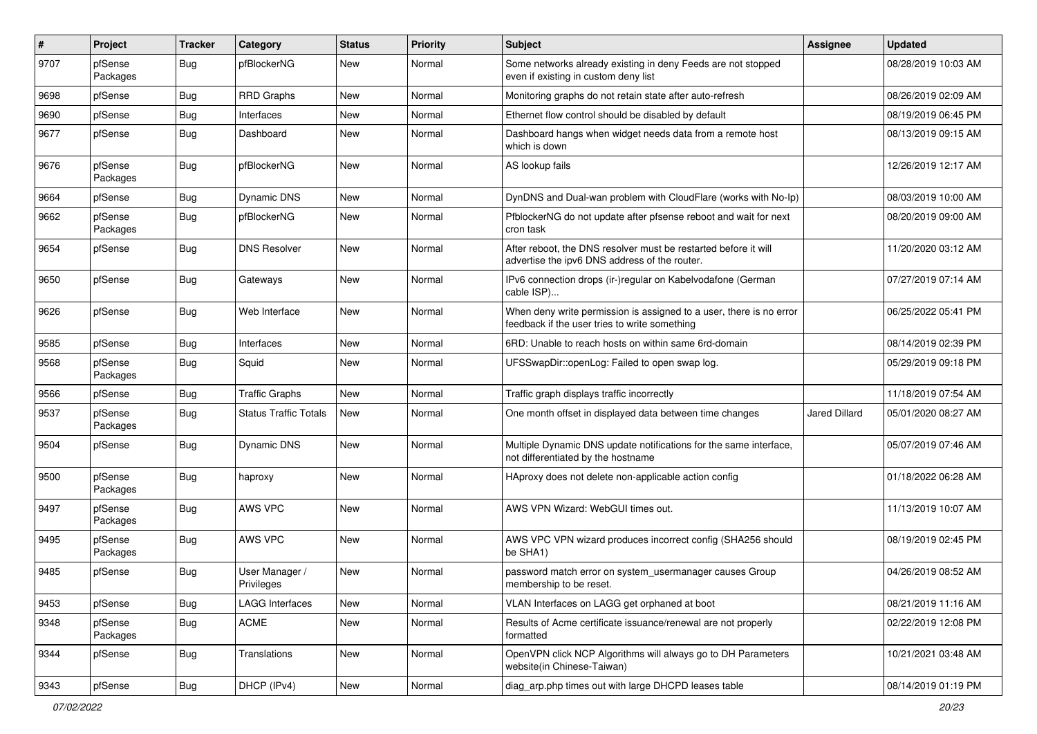| $\vert$ # | Project             | <b>Tracker</b> | Category                     | <b>Status</b> | Priority | <b>Subject</b>                                                                                                       | <b>Assignee</b> | <b>Updated</b>      |
|-----------|---------------------|----------------|------------------------------|---------------|----------|----------------------------------------------------------------------------------------------------------------------|-----------------|---------------------|
| 9707      | pfSense<br>Packages | <b>Bug</b>     | pfBlockerNG                  | New           | Normal   | Some networks already existing in deny Feeds are not stopped<br>even if existing in custom deny list                 |                 | 08/28/2019 10:03 AM |
| 9698      | pfSense             | <b>Bug</b>     | <b>RRD Graphs</b>            | New           | Normal   | Monitoring graphs do not retain state after auto-refresh                                                             |                 | 08/26/2019 02:09 AM |
| 9690      | pfSense             | <b>Bug</b>     | Interfaces                   | New           | Normal   | Ethernet flow control should be disabled by default                                                                  |                 | 08/19/2019 06:45 PM |
| 9677      | pfSense             | <b>Bug</b>     | Dashboard                    | New           | Normal   | Dashboard hangs when widget needs data from a remote host<br>which is down                                           |                 | 08/13/2019 09:15 AM |
| 9676      | pfSense<br>Packages | <b>Bug</b>     | pfBlockerNG                  | New           | Normal   | AS lookup fails                                                                                                      |                 | 12/26/2019 12:17 AM |
| 9664      | pfSense             | <b>Bug</b>     | Dynamic DNS                  | New           | Normal   | DynDNS and Dual-wan problem with CloudFlare (works with No-Ip)                                                       |                 | 08/03/2019 10:00 AM |
| 9662      | pfSense<br>Packages | Bug            | pfBlockerNG                  | New           | Normal   | PfblockerNG do not update after pfsense reboot and wait for next<br>cron task                                        |                 | 08/20/2019 09:00 AM |
| 9654      | pfSense             | Bug            | <b>DNS Resolver</b>          | <b>New</b>    | Normal   | After reboot, the DNS resolver must be restarted before it will<br>advertise the ipv6 DNS address of the router.     |                 | 11/20/2020 03:12 AM |
| 9650      | pfSense             | <b>Bug</b>     | Gateways                     | <b>New</b>    | Normal   | IPv6 connection drops (ir-)regular on Kabelvodafone (German<br>cable ISP)                                            |                 | 07/27/2019 07:14 AM |
| 9626      | pfSense             | <b>Bug</b>     | Web Interface                | <b>New</b>    | Normal   | When deny write permission is assigned to a user, there is no error<br>feedback if the user tries to write something |                 | 06/25/2022 05:41 PM |
| 9585      | pfSense             | Bug            | Interfaces                   | <b>New</b>    | Normal   | 6RD: Unable to reach hosts on within same 6rd-domain                                                                 |                 | 08/14/2019 02:39 PM |
| 9568      | pfSense<br>Packages | <b>Bug</b>     | Squid                        | <b>New</b>    | Normal   | UFSSwapDir::openLog: Failed to open swap log.                                                                        |                 | 05/29/2019 09:18 PM |
| 9566      | pfSense             | <b>Bug</b>     | <b>Traffic Graphs</b>        | <b>New</b>    | Normal   | Traffic graph displays traffic incorrectly                                                                           |                 | 11/18/2019 07:54 AM |
| 9537      | pfSense<br>Packages | <b>Bug</b>     | <b>Status Traffic Totals</b> | New           | Normal   | One month offset in displayed data between time changes                                                              | Jared Dillard   | 05/01/2020 08:27 AM |
| 9504      | pfSense             | <b>Bug</b>     | Dynamic DNS                  | <b>New</b>    | Normal   | Multiple Dynamic DNS update notifications for the same interface,<br>not differentiated by the hostname              |                 | 05/07/2019 07:46 AM |
| 9500      | pfSense<br>Packages | <b>Bug</b>     | haproxy                      | <b>New</b>    | Normal   | HAproxy does not delete non-applicable action config                                                                 |                 | 01/18/2022 06:28 AM |
| 9497      | pfSense<br>Packages | <b>Bug</b>     | AWS VPC                      | New           | Normal   | AWS VPN Wizard: WebGUI times out.                                                                                    |                 | 11/13/2019 10:07 AM |
| 9495      | pfSense<br>Packages | <b>Bug</b>     | AWS VPC                      | New           | Normal   | AWS VPC VPN wizard produces incorrect config (SHA256 should<br>be SHA1)                                              |                 | 08/19/2019 02:45 PM |
| 9485      | pfSense             | <b>Bug</b>     | User Manager /<br>Privileges | <b>New</b>    | Normal   | password match error on system_usermanager causes Group<br>membership to be reset.                                   |                 | 04/26/2019 08:52 AM |
| 9453      | pfSense             | Bug            | <b>LAGG Interfaces</b>       | New           | Normal   | VLAN Interfaces on LAGG get orphaned at boot                                                                         |                 | 08/21/2019 11:16 AM |
| 9348      | pfSense<br>Packages | <b>Bug</b>     | ACME                         | New           | Normal   | Results of Acme certificate issuance/renewal are not properly<br>formatted                                           |                 | 02/22/2019 12:08 PM |
| 9344      | pfSense             | <b>Bug</b>     | Translations                 | New           | Normal   | OpenVPN click NCP Algorithms will always go to DH Parameters<br>website(in Chinese-Taiwan)                           |                 | 10/21/2021 03:48 AM |
| 9343      | pfSense             | <b>Bug</b>     | DHCP (IPv4)                  | New           | Normal   | diag_arp.php times out with large DHCPD leases table                                                                 |                 | 08/14/2019 01:19 PM |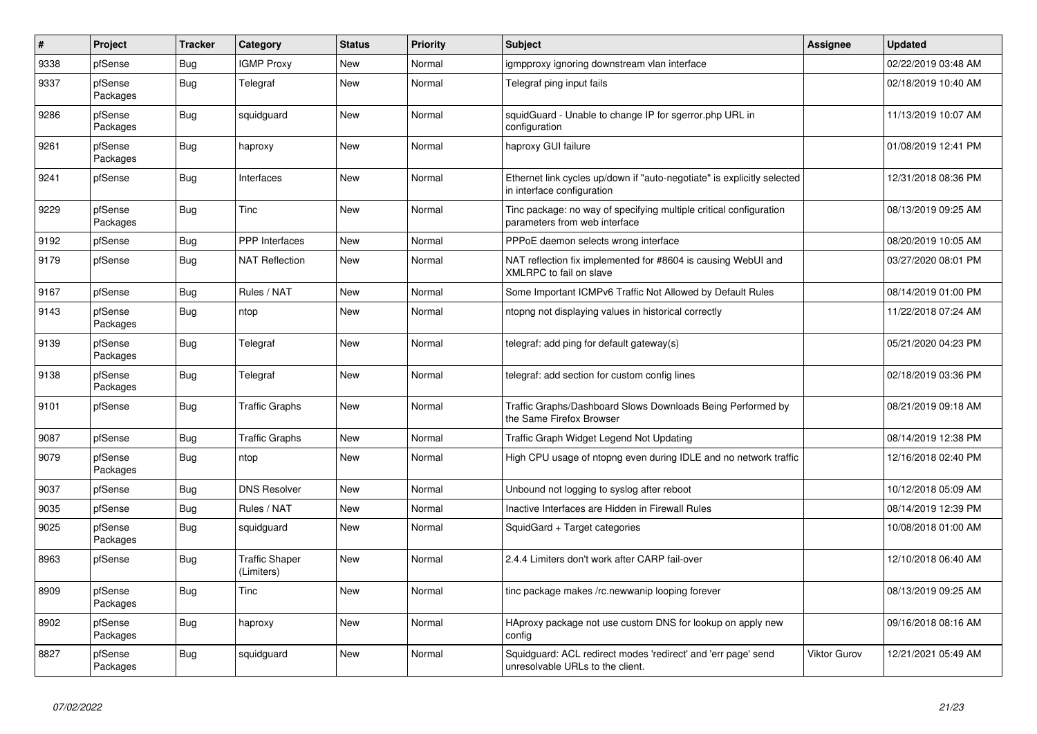| $\pmb{\#}$ | Project             | <b>Tracker</b> | Category                            | <b>Status</b> | Priority | <b>Subject</b>                                                                                        | <b>Assignee</b> | <b>Updated</b>      |
|------------|---------------------|----------------|-------------------------------------|---------------|----------|-------------------------------------------------------------------------------------------------------|-----------------|---------------------|
| 9338       | pfSense             | Bug            | <b>IGMP Proxy</b>                   | New           | Normal   | igmpproxy ignoring downstream vlan interface                                                          |                 | 02/22/2019 03:48 AM |
| 9337       | pfSense<br>Packages | <b>Bug</b>     | Telegraf                            | New           | Normal   | Telegraf ping input fails                                                                             |                 | 02/18/2019 10:40 AM |
| 9286       | pfSense<br>Packages | <b>Bug</b>     | squidguard                          | New           | Normal   | squidGuard - Unable to change IP for sgerror.php URL in<br>configuration                              |                 | 11/13/2019 10:07 AM |
| 9261       | pfSense<br>Packages | <b>Bug</b>     | haproxy                             | New           | Normal   | haproxy GUI failure                                                                                   |                 | 01/08/2019 12:41 PM |
| 9241       | pfSense             | Bug            | Interfaces                          | <b>New</b>    | Normal   | Ethernet link cycles up/down if "auto-negotiate" is explicitly selected<br>in interface configuration |                 | 12/31/2018 08:36 PM |
| 9229       | pfSense<br>Packages | <b>Bug</b>     | Tinc                                | New           | Normal   | Tinc package: no way of specifying multiple critical configuration<br>parameters from web interface   |                 | 08/13/2019 09:25 AM |
| 9192       | pfSense             | <b>Bug</b>     | <b>PPP</b> Interfaces               | New           | Normal   | PPPoE daemon selects wrong interface                                                                  |                 | 08/20/2019 10:05 AM |
| 9179       | pfSense             | <b>Bug</b>     | <b>NAT Reflection</b>               | New           | Normal   | NAT reflection fix implemented for #8604 is causing WebUI and<br>XMLRPC to fail on slave              |                 | 03/27/2020 08:01 PM |
| 9167       | pfSense             | Bug            | Rules / NAT                         | New           | Normal   | Some Important ICMPv6 Traffic Not Allowed by Default Rules                                            |                 | 08/14/2019 01:00 PM |
| 9143       | pfSense<br>Packages | <b>Bug</b>     | ntop                                | New           | Normal   | ntopng not displaying values in historical correctly                                                  |                 | 11/22/2018 07:24 AM |
| 9139       | pfSense<br>Packages | <b>Bug</b>     | Telegraf                            | <b>New</b>    | Normal   | telegraf: add ping for default gateway(s)                                                             |                 | 05/21/2020 04:23 PM |
| 9138       | pfSense<br>Packages | Bug            | Telegraf                            | New           | Normal   | telegraf: add section for custom config lines                                                         |                 | 02/18/2019 03:36 PM |
| 9101       | pfSense             | <b>Bug</b>     | <b>Traffic Graphs</b>               | New           | Normal   | Traffic Graphs/Dashboard Slows Downloads Being Performed by<br>the Same Firefox Browser               |                 | 08/21/2019 09:18 AM |
| 9087       | pfSense             | <b>Bug</b>     | <b>Traffic Graphs</b>               | New           | Normal   | Traffic Graph Widget Legend Not Updating                                                              |                 | 08/14/2019 12:38 PM |
| 9079       | pfSense<br>Packages | <b>Bug</b>     | ntop                                | New           | Normal   | High CPU usage of ntopng even during IDLE and no network traffic                                      |                 | 12/16/2018 02:40 PM |
| 9037       | pfSense             | Bug            | <b>DNS Resolver</b>                 | <b>New</b>    | Normal   | Unbound not logging to syslog after reboot                                                            |                 | 10/12/2018 05:09 AM |
| 9035       | pfSense             | <b>Bug</b>     | Rules / NAT                         | New           | Normal   | Inactive Interfaces are Hidden in Firewall Rules                                                      |                 | 08/14/2019 12:39 PM |
| 9025       | pfSense<br>Packages | <b>Bug</b>     | squidguard                          | <b>New</b>    | Normal   | SquidGard + Target categories                                                                         |                 | 10/08/2018 01:00 AM |
| 8963       | pfSense             | <b>Bug</b>     | <b>Traffic Shaper</b><br>(Limiters) | New           | Normal   | 2.4.4 Limiters don't work after CARP fail-over                                                        |                 | 12/10/2018 06:40 AM |
| 8909       | pfSense<br>Packages | <b>Bug</b>     | Tinc                                | New           | Normal   | tinc package makes /rc.newwanip looping forever                                                       |                 | 08/13/2019 09:25 AM |
| 8902       | pfSense<br>Packages | <b>Bug</b>     | haproxy                             | New           | Normal   | HAproxy package not use custom DNS for lookup on apply new<br>confia                                  |                 | 09/16/2018 08:16 AM |
| 8827       | pfSense<br>Packages | <b>Bug</b>     | squidguard                          | <b>New</b>    | Normal   | Squidguard: ACL redirect modes 'redirect' and 'err page' send<br>unresolvable URLs to the client.     | Viktor Gurov    | 12/21/2021 05:49 AM |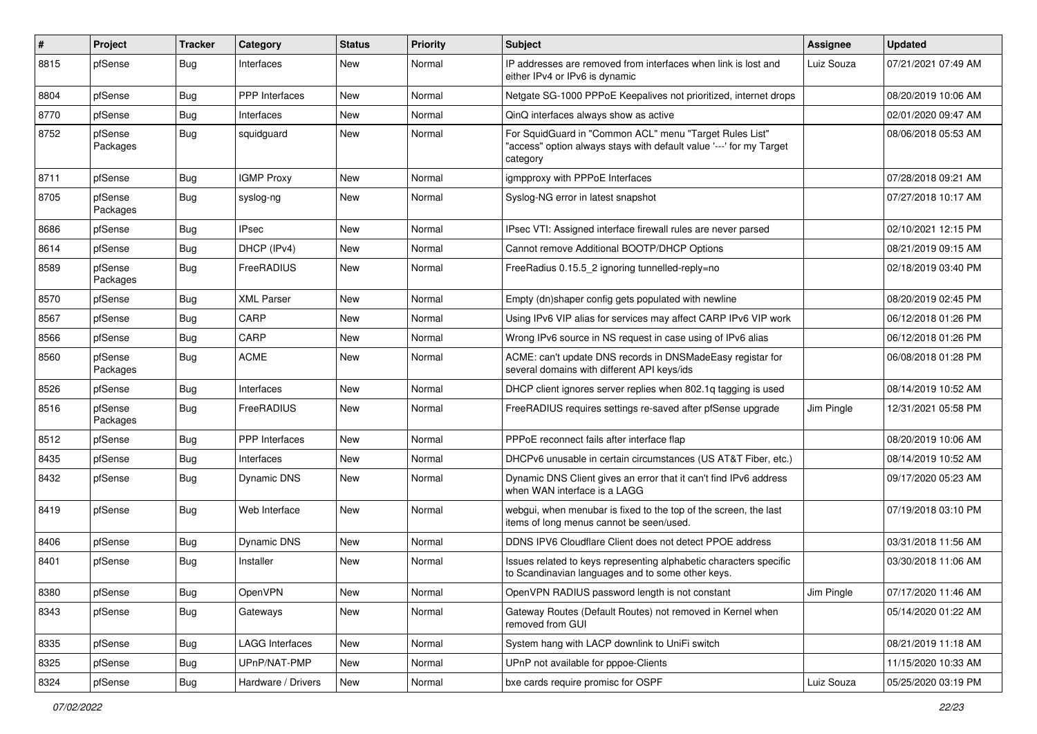| $\pmb{\#}$ | Project             | <b>Tracker</b> | Category               | <b>Status</b> | Priority | Subject                                                                                                                                    | <b>Assignee</b> | <b>Updated</b>      |
|------------|---------------------|----------------|------------------------|---------------|----------|--------------------------------------------------------------------------------------------------------------------------------------------|-----------------|---------------------|
| 8815       | pfSense             | Bug            | Interfaces             | New           | Normal   | IP addresses are removed from interfaces when link is lost and<br>either IPv4 or IPv6 is dynamic                                           | Luiz Souza      | 07/21/2021 07:49 AM |
| 8804       | pfSense             | Bug            | <b>PPP</b> Interfaces  | New           | Normal   | Netgate SG-1000 PPPoE Keepalives not prioritized, internet drops                                                                           |                 | 08/20/2019 10:06 AM |
| 8770       | pfSense             | <b>Bug</b>     | Interfaces             | New           | Normal   | QinQ interfaces always show as active                                                                                                      |                 | 02/01/2020 09:47 AM |
| 8752       | pfSense<br>Packages | <b>Bug</b>     | squidguard             | <b>New</b>    | Normal   | For SquidGuard in "Common ACL" menu "Target Rules List"<br>"access" option always stays with default value '---' for my Target<br>category |                 | 08/06/2018 05:53 AM |
| 8711       | pfSense             | <b>Bug</b>     | <b>IGMP Proxy</b>      | <b>New</b>    | Normal   | igmpproxy with PPPoE Interfaces                                                                                                            |                 | 07/28/2018 09:21 AM |
| 8705       | pfSense<br>Packages | Bug            | syslog-ng              | New           | Normal   | Syslog-NG error in latest snapshot                                                                                                         |                 | 07/27/2018 10:17 AM |
| 8686       | pfSense             | Bug            | <b>IPsec</b>           | New           | Normal   | IPsec VTI: Assigned interface firewall rules are never parsed                                                                              |                 | 02/10/2021 12:15 PM |
| 8614       | pfSense             | Bug            | DHCP (IPv4)            | New           | Normal   | Cannot remove Additional BOOTP/DHCP Options                                                                                                |                 | 08/21/2019 09:15 AM |
| 8589       | pfSense<br>Packages | <b>Bug</b>     | FreeRADIUS             | New           | Normal   | FreeRadius 0.15.5_2 ignoring tunnelled-reply=no                                                                                            |                 | 02/18/2019 03:40 PM |
| 8570       | pfSense             | <b>Bug</b>     | <b>XML Parser</b>      | New           | Normal   | Empty (dn)shaper config gets populated with newline                                                                                        |                 | 08/20/2019 02:45 PM |
| 8567       | pfSense             | <b>Bug</b>     | CARP                   | New           | Normal   | Using IPv6 VIP alias for services may affect CARP IPv6 VIP work                                                                            |                 | 06/12/2018 01:26 PM |
| 8566       | pfSense             | Bug            | CARP                   | New           | Normal   | Wrong IPv6 source in NS request in case using of IPv6 alias                                                                                |                 | 06/12/2018 01:26 PM |
| 8560       | pfSense<br>Packages | Bug            | <b>ACME</b>            | New           | Normal   | ACME: can't update DNS records in DNSMadeEasy registar for<br>several domains with different API keys/ids                                  |                 | 06/08/2018 01:28 PM |
| 8526       | pfSense             | Bug            | Interfaces             | New           | Normal   | DHCP client ignores server replies when 802.1q tagging is used                                                                             |                 | 08/14/2019 10:52 AM |
| 8516       | pfSense<br>Packages | <b>Bug</b>     | FreeRADIUS             | New           | Normal   | FreeRADIUS requires settings re-saved after pfSense upgrade                                                                                | Jim Pingle      | 12/31/2021 05:58 PM |
| 8512       | pfSense             | Bug            | <b>PPP</b> Interfaces  | New           | Normal   | PPPoE reconnect fails after interface flap                                                                                                 |                 | 08/20/2019 10:06 AM |
| 8435       | pfSense             | <b>Bug</b>     | Interfaces             | New           | Normal   | DHCPv6 unusable in certain circumstances (US AT&T Fiber, etc.)                                                                             |                 | 08/14/2019 10:52 AM |
| 8432       | pfSense             | Bug            | Dynamic DNS            | New           | Normal   | Dynamic DNS Client gives an error that it can't find IPv6 address<br>when WAN interface is a LAGG                                          |                 | 09/17/2020 05:23 AM |
| 8419       | pfSense             | Bug            | Web Interface          | New           | Normal   | webgui, when menubar is fixed to the top of the screen, the last<br>items of long menus cannot be seen/used.                               |                 | 07/19/2018 03:10 PM |
| 8406       | pfSense             | Bug            | Dynamic DNS            | New           | Normal   | DDNS IPV6 Cloudflare Client does not detect PPOE address                                                                                   |                 | 03/31/2018 11:56 AM |
| 8401       | pfSense             | Bug            | Installer              | New           | Normal   | Issues related to keys representing alphabetic characters specific<br>to Scandinavian languages and to some other keys.                    |                 | 03/30/2018 11:06 AM |
| 8380       | pfSense             | <b>Bug</b>     | OpenVPN                | New           | Normal   | OpenVPN RADIUS password length is not constant                                                                                             | Jim Pingle      | 07/17/2020 11:46 AM |
| 8343       | pfSense             | <b>Bug</b>     | Gateways               | New           | Normal   | Gateway Routes (Default Routes) not removed in Kernel when<br>removed from GUI                                                             |                 | 05/14/2020 01:22 AM |
| 8335       | pfSense             | <b>Bug</b>     | <b>LAGG Interfaces</b> | New           | Normal   | System hang with LACP downlink to UniFi switch                                                                                             |                 | 08/21/2019 11:18 AM |
| 8325       | pfSense             | <b>Bug</b>     | UPnP/NAT-PMP           | New           | Normal   | UPnP not available for pppoe-Clients                                                                                                       |                 | 11/15/2020 10:33 AM |
| 8324       | pfSense             | Bug            | Hardware / Drivers     | New           | Normal   | bxe cards require promisc for OSPF                                                                                                         | Luiz Souza      | 05/25/2020 03:19 PM |